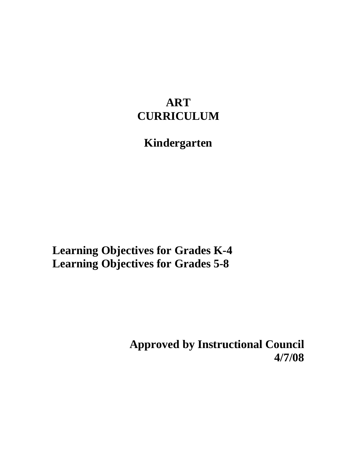## **ART CURRICULUM**

# **Kindergarten**

**Learning Objectives for Grades K-4 Learning Objectives for Grades 5-8** 

> **Approved by Instructional Council 4/7/08**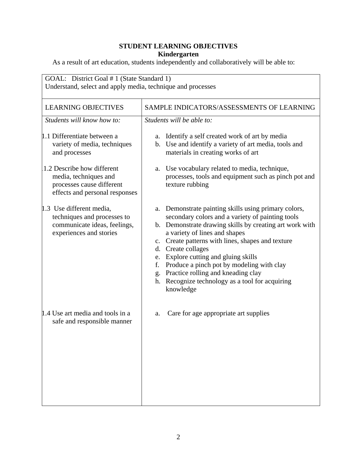| GOAL: District Goal # 1 (State Standard 1)<br>Understand, select and apply media, technique and processes          |                                                                                                                                                                                                                                                                                                                                                                                                                                                                                  |
|--------------------------------------------------------------------------------------------------------------------|----------------------------------------------------------------------------------------------------------------------------------------------------------------------------------------------------------------------------------------------------------------------------------------------------------------------------------------------------------------------------------------------------------------------------------------------------------------------------------|
| <b>LEARNING OBJECTIVES</b>                                                                                         | SAMPLE INDICATORS/ASSESSMENTS OF LEARNING                                                                                                                                                                                                                                                                                                                                                                                                                                        |
| Students will know how to:                                                                                         | Students will be able to:                                                                                                                                                                                                                                                                                                                                                                                                                                                        |
| 1.1 Differentiate between a<br>variety of media, techniques<br>and processes                                       | a. Identify a self created work of art by media<br>b. Use and identify a variety of art media, tools and<br>materials in creating works of art                                                                                                                                                                                                                                                                                                                                   |
| 1.2 Describe how different<br>media, techniques and<br>processes cause different<br>effects and personal responses | a. Use vocabulary related to media, technique,<br>processes, tools and equipment such as pinch pot and<br>texture rubbing                                                                                                                                                                                                                                                                                                                                                        |
| 1.3 Use different media,<br>techniques and processes to<br>communicate ideas, feelings,<br>experiences and stories | a. Demonstrate painting skills using primary colors,<br>secondary colors and a variety of painting tools<br>b. Demonstrate drawing skills by creating art work with<br>a variety of lines and shapes<br>c. Create patterns with lines, shapes and texture<br>d. Create collages<br>e. Explore cutting and gluing skills<br>f. Produce a pinch pot by modeling with clay<br>g. Practice rolling and kneading clay<br>h. Recognize technology as a tool for acquiring<br>knowledge |
| 1.4 Use art media and tools in a<br>safe and responsible manner                                                    | Care for age appropriate art supplies<br>a.                                                                                                                                                                                                                                                                                                                                                                                                                                      |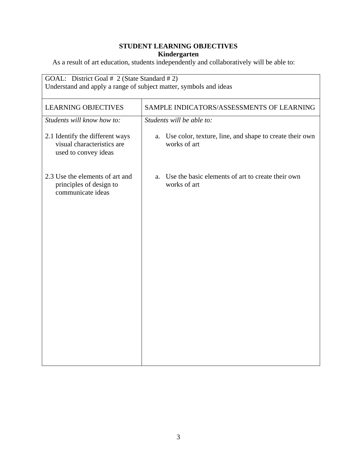| GOAL: District Goal # 2 (State Standard # 2)<br>Understand and apply a range of subject matter, symbols and ideas |  |
|-------------------------------------------------------------------------------------------------------------------|--|
| SAMPLE INDICATORS/ASSESSMENTS OF LEARNING                                                                         |  |
| Students will be able to:                                                                                         |  |
| Use color, texture, line, and shape to create their own<br>a.<br>works of art                                     |  |
| Use the basic elements of art to create their own<br>a.<br>works of art                                           |  |
|                                                                                                                   |  |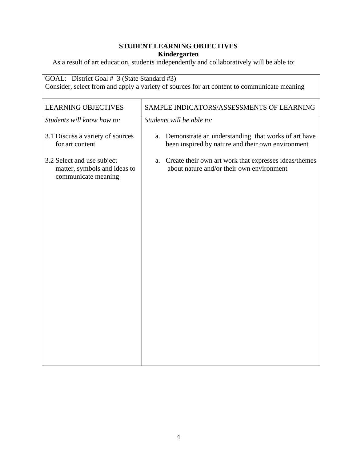| GOAL: District Goal # 3 (State Standard #3)<br>Consider, select from and apply a variety of sources for art content to communicate meaning |                                                                                                                |
|--------------------------------------------------------------------------------------------------------------------------------------------|----------------------------------------------------------------------------------------------------------------|
| <b>LEARNING OBJECTIVES</b>                                                                                                                 | SAMPLE INDICATORS/ASSESSMENTS OF LEARNING                                                                      |
| Students will know how to:                                                                                                                 | Students will be able to:                                                                                      |
| 3.1 Discuss a variety of sources<br>for art content                                                                                        | Demonstrate an understanding that works of art have<br>a.<br>been inspired by nature and their own environment |
| 3.2 Select and use subject<br>matter, symbols and ideas to<br>communicate meaning                                                          | Create their own art work that expresses ideas/themes<br>a.<br>about nature and/or their own environment       |
|                                                                                                                                            |                                                                                                                |
|                                                                                                                                            |                                                                                                                |
|                                                                                                                                            |                                                                                                                |
|                                                                                                                                            |                                                                                                                |
|                                                                                                                                            |                                                                                                                |
|                                                                                                                                            |                                                                                                                |
|                                                                                                                                            |                                                                                                                |
|                                                                                                                                            |                                                                                                                |
|                                                                                                                                            |                                                                                                                |
|                                                                                                                                            |                                                                                                                |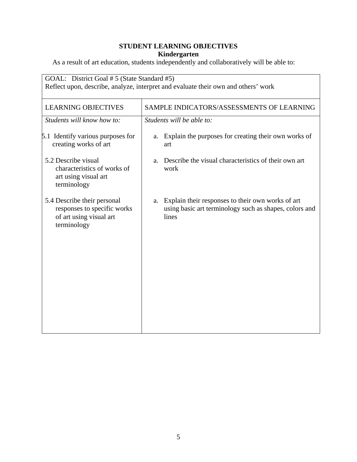| GOAL: District Goal # 5 (State Standard #5)<br>Reflect upon, describe, analyze, interpret and evaluate their own and others' work |  |
|-----------------------------------------------------------------------------------------------------------------------------------|--|
| SAMPLE INDICATORS/ASSESSMENTS OF LEARNING                                                                                         |  |
| Students will be able to:                                                                                                         |  |
| Explain the purposes for creating their own works of<br>a.<br>art                                                                 |  |
| Describe the visual characteristics of their own art<br>a.<br>work                                                                |  |
| Explain their responses to their own works of art<br>a.<br>using basic art terminology such as shapes, colors and<br>lines        |  |
|                                                                                                                                   |  |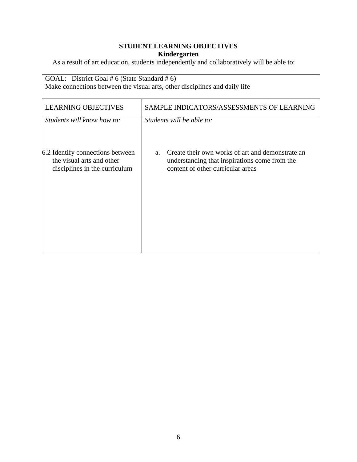| SAMPLE INDICATORS/ASSESSMENTS OF LEARNING                                                                                              |
|----------------------------------------------------------------------------------------------------------------------------------------|
|                                                                                                                                        |
| Students will be able to:                                                                                                              |
|                                                                                                                                        |
| Create their own works of art and demonstrate an<br>understanding that inspirations come from the<br>content of other curricular areas |
|                                                                                                                                        |
|                                                                                                                                        |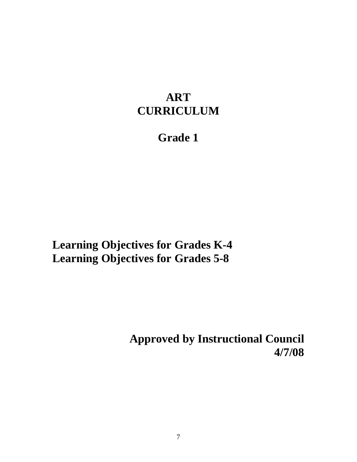## **ART CURRICULUM**

# **Grade 1**

**Learning Objectives for Grades K-4 Learning Objectives for Grades 5-8** 

> **Approved by Instructional Council 4/7/08**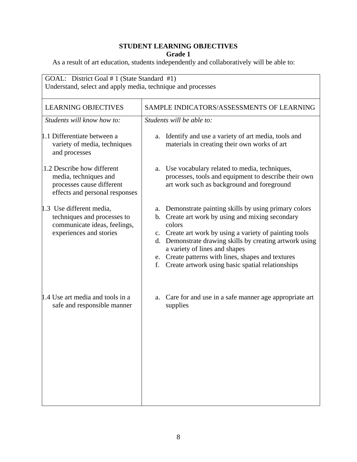| GOAL: District Goal # 1 (State Standard #1)<br>Understand, select and apply media, technique and processes         |                                                                                                                                                                                                                                                                                                                                                                                             |
|--------------------------------------------------------------------------------------------------------------------|---------------------------------------------------------------------------------------------------------------------------------------------------------------------------------------------------------------------------------------------------------------------------------------------------------------------------------------------------------------------------------------------|
| <b>LEARNING OBJECTIVES</b>                                                                                         | SAMPLE INDICATORS/ASSESSMENTS OF LEARNING                                                                                                                                                                                                                                                                                                                                                   |
| Students will know how to:                                                                                         | Students will be able to:                                                                                                                                                                                                                                                                                                                                                                   |
| 1.1 Differentiate between a<br>variety of media, techniques<br>and processes                                       | Identify and use a variety of art media, tools and<br>a.<br>materials in creating their own works of art                                                                                                                                                                                                                                                                                    |
| 1.2 Describe how different<br>media, techniques and<br>processes cause different<br>effects and personal responses | Use vocabulary related to media, techniques,<br>a.<br>processes, tools and equipment to describe their own<br>art work such as background and foreground                                                                                                                                                                                                                                    |
| 1.3 Use different media,<br>techniques and processes to<br>communicate ideas, feelings,<br>experiences and stories | a. Demonstrate painting skills by using primary colors<br>b. Create art work by using and mixing secondary<br>colors<br>c. Create art work by using a variety of painting tools<br>d. Demonstrate drawing skills by creating artwork using<br>a variety of lines and shapes<br>e. Create patterns with lines, shapes and textures<br>Create artwork using basic spatial relationships<br>f. |
| 1.4 Use art media and tools in a<br>safe and responsible manner                                                    | Care for and use in a safe manner age appropriate art<br>a.<br>supplies                                                                                                                                                                                                                                                                                                                     |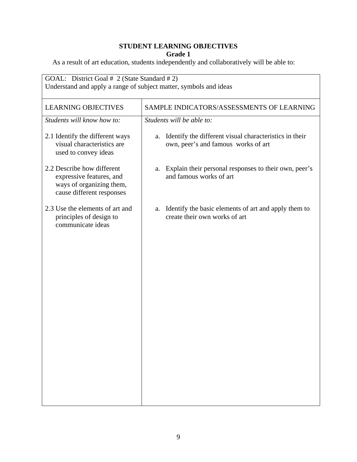| <b>LEARNING OBJECTIVES</b>                                                                                      | SAMPLE INDICATORS/ASSESSMENTS OF LEARNING                                                           |
|-----------------------------------------------------------------------------------------------------------------|-----------------------------------------------------------------------------------------------------|
| Students will know how to:                                                                                      | Students will be able to:                                                                           |
| 2.1 Identify the different ways<br>visual characteristics are<br>used to convey ideas                           | Identify the different visual characteristics in their<br>a.<br>own, peer's and famous works of art |
| 2.2 Describe how different<br>expressive features, and<br>ways of organizing them,<br>cause different responses | Explain their personal responses to their own, peer's<br>a.<br>and famous works of art              |
| 2.3 Use the elements of art and<br>principles of design to<br>communicate ideas                                 | Identify the basic elements of art and apply them to<br>a.<br>create their own works of art         |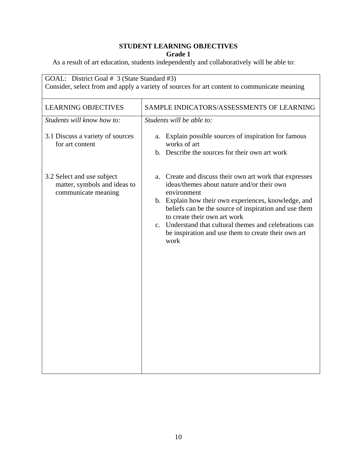| GOAL: District Goal # 3 (State Standard #3)<br>Consider, select from and apply a variety of sources for art content to communicate meaning |                                                                                                                                                                                                                                                                                                                                                                                                 |
|--------------------------------------------------------------------------------------------------------------------------------------------|-------------------------------------------------------------------------------------------------------------------------------------------------------------------------------------------------------------------------------------------------------------------------------------------------------------------------------------------------------------------------------------------------|
| <b>LEARNING OBJECTIVES</b><br>Students will know how to:                                                                                   | SAMPLE INDICATORS/ASSESSMENTS OF LEARNING<br>Students will be able to:                                                                                                                                                                                                                                                                                                                          |
| 3.1 Discuss a variety of sources<br>for art content                                                                                        | Explain possible sources of inspiration for famous<br>a.<br>works of art<br>b. Describe the sources for their own art work                                                                                                                                                                                                                                                                      |
| 3.2 Select and use subject<br>matter, symbols and ideas to<br>communicate meaning                                                          | a. Create and discuss their own art work that expresses<br>ideas/themes about nature and/or their own<br>environment<br>b. Explain how their own experiences, knowledge, and<br>beliefs can be the source of inspiration and use them<br>to create their own art work<br>c. Understand that cultural themes and celebrations can<br>be inspiration and use them to create their own art<br>work |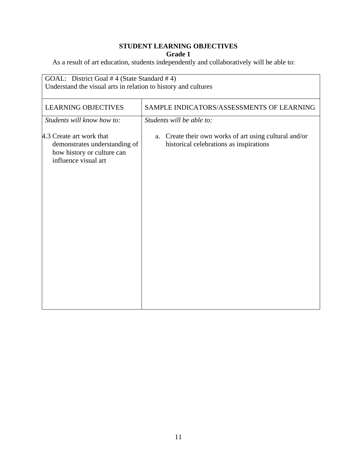| GOAL: District Goal # 4 (State Standard # 4)<br>Understand the visual arts in relation to history and cultures  |                                                                                                   |
|-----------------------------------------------------------------------------------------------------------------|---------------------------------------------------------------------------------------------------|
| <b>LEARNING OBJECTIVES</b>                                                                                      | SAMPLE INDICATORS/ASSESSMENTS OF LEARNING                                                         |
| Students will know how to:                                                                                      | Students will be able to:                                                                         |
| 4.3 Create art work that<br>demonstrates understanding of<br>how history or culture can<br>influence visual art | a. Create their own works of art using cultural and/or<br>historical celebrations as inspirations |
|                                                                                                                 |                                                                                                   |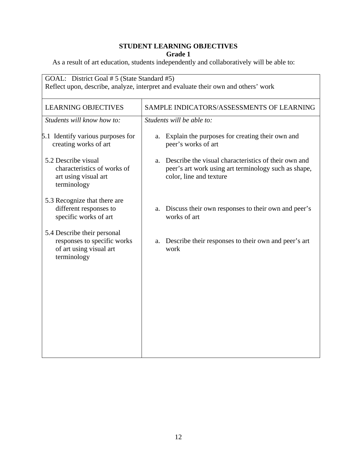| GOAL: District Goal # 5 (State Standard #5)<br>Reflect upon, describe, analyze, interpret and evaluate their own and others' work |                                                                                                                                               |
|-----------------------------------------------------------------------------------------------------------------------------------|-----------------------------------------------------------------------------------------------------------------------------------------------|
| <b>LEARNING OBJECTIVES</b>                                                                                                        | SAMPLE INDICATORS/ASSESSMENTS OF LEARNING                                                                                                     |
| Students will know how to:                                                                                                        | Students will be able to:                                                                                                                     |
| 5.1 Identify various purposes for<br>creating works of art                                                                        | a. Explain the purposes for creating their own and<br>peer's works of art                                                                     |
| 5.2 Describe visual<br>characteristics of works of<br>art using visual art<br>terminology                                         | Describe the visual characteristics of their own and<br>a.<br>peer's art work using art terminology such as shape,<br>color, line and texture |
| 5.3 Recognize that there are<br>different responses to<br>specific works of art                                                   | Discuss their own responses to their own and peer's<br>a.<br>works of art                                                                     |
| 5.4 Describe their personal<br>responses to specific works<br>of art using visual art<br>terminology                              | Describe their responses to their own and peer's art<br>a.<br>work                                                                            |
|                                                                                                                                   |                                                                                                                                               |
|                                                                                                                                   |                                                                                                                                               |
|                                                                                                                                   |                                                                                                                                               |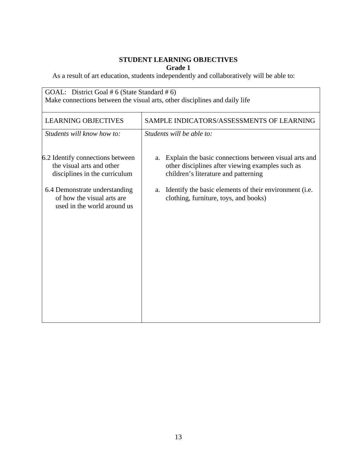| GOAL: District Goal # 6 (State Standard # 6)<br>Make connections between the visual arts, other disciplines and daily life                                                                   |                                                                                                                                                                                                                                                                  |
|----------------------------------------------------------------------------------------------------------------------------------------------------------------------------------------------|------------------------------------------------------------------------------------------------------------------------------------------------------------------------------------------------------------------------------------------------------------------|
| <b>LEARNING OBJECTIVES</b>                                                                                                                                                                   | SAMPLE INDICATORS/ASSESSMENTS OF LEARNING                                                                                                                                                                                                                        |
| Students will know how to:                                                                                                                                                                   | Students will be able to:                                                                                                                                                                                                                                        |
| 6.2 Identify connections between<br>the visual arts and other<br>disciplines in the curriculum<br>6.4 Demonstrate understanding<br>of how the visual arts are<br>used in the world around us | Explain the basic connections between visual arts and<br>a.<br>other disciplines after viewing examples such as<br>children's literature and patterning<br>Identify the basic elements of their environment (i.e.<br>a.<br>clothing, furniture, toys, and books) |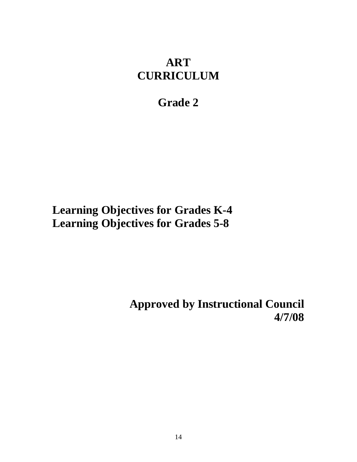## **ART CURRICULUM**

## **Grade 2**

# **Learning Objectives for Grades K-4 Learning Objectives for Grades 5-8**

**Approved by Instructional Council 4/7/08**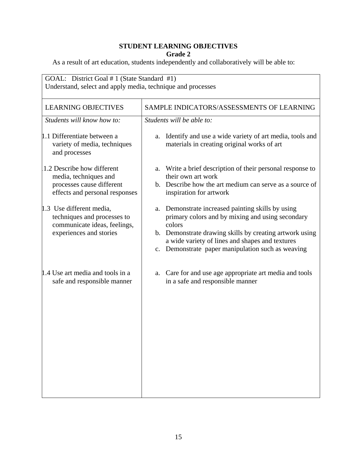| GOAL: District Goal # 1 (State Standard #1)<br>Understand, select and apply media, technique and processes         |                                                                                                                                                                                                                                                                                    |
|--------------------------------------------------------------------------------------------------------------------|------------------------------------------------------------------------------------------------------------------------------------------------------------------------------------------------------------------------------------------------------------------------------------|
| <b>LEARNING OBJECTIVES</b>                                                                                         | SAMPLE INDICATORS/ASSESSMENTS OF LEARNING                                                                                                                                                                                                                                          |
| Students will know how to:                                                                                         | Students will be able to:                                                                                                                                                                                                                                                          |
| 1.1 Differentiate between a<br>variety of media, techniques<br>and processes                                       | Identify and use a wide variety of art media, tools and<br>a.<br>materials in creating original works of art                                                                                                                                                                       |
| 1.2 Describe how different<br>media, techniques and<br>processes cause different<br>effects and personal responses | a. Write a brief description of their personal response to<br>their own art work<br>b. Describe how the art medium can serve as a source of<br>inspiration for artwork                                                                                                             |
| 1.3 Use different media,<br>techniques and processes to<br>communicate ideas, feelings,<br>experiences and stories | a. Demonstrate increased painting skills by using<br>primary colors and by mixing and using secondary<br>colors<br>b. Demonstrate drawing skills by creating artwork using<br>a wide variety of lines and shapes and textures<br>c. Demonstrate paper manipulation such as weaving |
| 1.4 Use art media and tools in a<br>safe and responsible manner                                                    | Care for and use age appropriate art media and tools<br>a.<br>in a safe and responsible manner                                                                                                                                                                                     |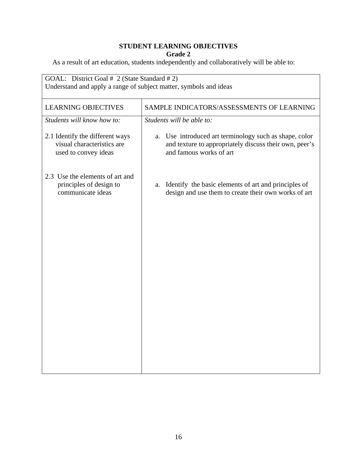| GOAL: District Goal # 2 (State Standard # 2)<br>Understand and apply a range of subject matter, symbols and ideas |                                                                                                                                                |
|-------------------------------------------------------------------------------------------------------------------|------------------------------------------------------------------------------------------------------------------------------------------------|
| <b>LEARNING OBJECTIVES</b>                                                                                        | SAMPLE INDICATORS/ASSESSMENTS OF LEARNING                                                                                                      |
| Students will know how to:                                                                                        | Students will be able to:                                                                                                                      |
| 2.1 Identify the different ways<br>visual characteristics are<br>used to convey ideas                             | Use introduced art terminology such as shape, color<br>a.<br>and texture to appropriately discuss their own, peer's<br>and famous works of art |
| 2.3 Use the elements of art and<br>principles of design to<br>communicate ideas                                   | Identify the basic elements of art and principles of<br>a.<br>design and use them to create their own works of art                             |
|                                                                                                                   |                                                                                                                                                |
|                                                                                                                   |                                                                                                                                                |
|                                                                                                                   |                                                                                                                                                |
|                                                                                                                   |                                                                                                                                                |
|                                                                                                                   |                                                                                                                                                |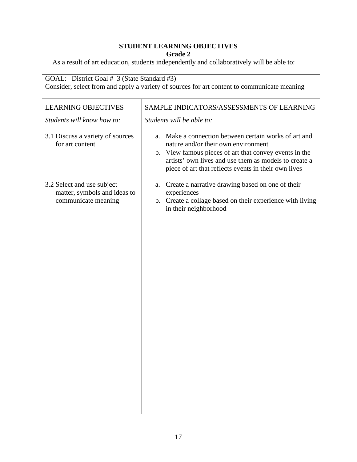| GOAL: District Goal # 3 (State Standard #3)<br>Consider, select from and apply a variety of sources for art content to communicate meaning |                                                                                                                                                                                                                                                                            |
|--------------------------------------------------------------------------------------------------------------------------------------------|----------------------------------------------------------------------------------------------------------------------------------------------------------------------------------------------------------------------------------------------------------------------------|
| <b>LEARNING OBJECTIVES</b>                                                                                                                 | SAMPLE INDICATORS/ASSESSMENTS OF LEARNING                                                                                                                                                                                                                                  |
| Students will know how to:                                                                                                                 | Students will be able to:                                                                                                                                                                                                                                                  |
| 3.1 Discuss a variety of sources<br>for art content                                                                                        | Make a connection between certain works of art and<br>a.<br>nature and/or their own environment<br>b. View famous pieces of art that convey events in the<br>artists' own lives and use them as models to create a<br>piece of art that reflects events in their own lives |
| 3.2 Select and use subject                                                                                                                 | Create a narrative drawing based on one of their<br>a.                                                                                                                                                                                                                     |
| matter, symbols and ideas to<br>communicate meaning                                                                                        | experiences<br>b. Create a collage based on their experience with living<br>in their neighborhood                                                                                                                                                                          |
|                                                                                                                                            |                                                                                                                                                                                                                                                                            |
|                                                                                                                                            |                                                                                                                                                                                                                                                                            |
|                                                                                                                                            |                                                                                                                                                                                                                                                                            |
|                                                                                                                                            |                                                                                                                                                                                                                                                                            |
|                                                                                                                                            |                                                                                                                                                                                                                                                                            |
|                                                                                                                                            |                                                                                                                                                                                                                                                                            |
|                                                                                                                                            |                                                                                                                                                                                                                                                                            |
|                                                                                                                                            |                                                                                                                                                                                                                                                                            |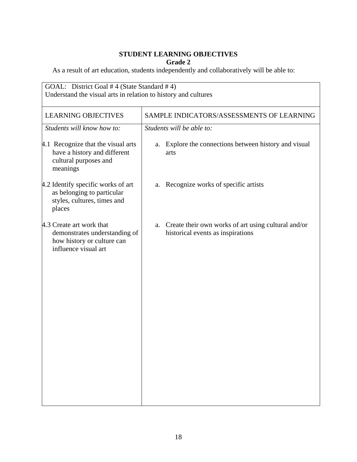| GOAL: District Goal #4 (State Standard #4)<br>Understand the visual arts in relation to history and cultures    |                                                                                             |
|-----------------------------------------------------------------------------------------------------------------|---------------------------------------------------------------------------------------------|
| <b>LEARNING OBJECTIVES</b>                                                                                      | SAMPLE INDICATORS/ASSESSMENTS OF LEARNING                                                   |
| Students will know how to:                                                                                      | Students will be able to:                                                                   |
| 4.1 Recognize that the visual arts<br>have a history and different<br>cultural purposes and<br>meanings         | a. Explore the connections between history and visual<br>arts                               |
| 4.2 Identify specific works of art<br>as belonging to particular<br>styles, cultures, times and<br>places       | Recognize works of specific artists<br>a.                                                   |
| 4.3 Create art work that<br>demonstrates understanding of<br>how history or culture can<br>influence visual art | a. Create their own works of art using cultural and/or<br>historical events as inspirations |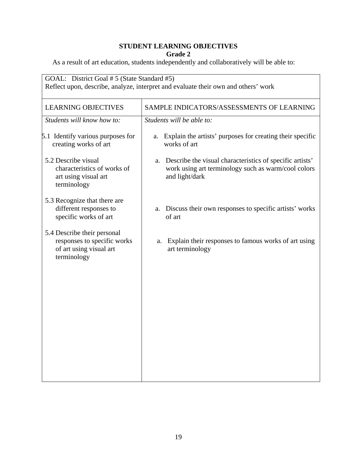| GOAL: District Goal # 5 (State Standard #5)<br>Reflect upon, describe, analyze, interpret and evaluate their own and others' work |                                                                                                                                         |
|-----------------------------------------------------------------------------------------------------------------------------------|-----------------------------------------------------------------------------------------------------------------------------------------|
| <b>LEARNING OBJECTIVES</b>                                                                                                        | SAMPLE INDICATORS/ASSESSMENTS OF LEARNING                                                                                               |
| Students will know how to:                                                                                                        | Students will be able to:                                                                                                               |
| 5.1 Identify various purposes for<br>creating works of art                                                                        | Explain the artists' purposes for creating their specific<br>a.<br>works of art                                                         |
| 5.2 Describe visual<br>characteristics of works of<br>art using visual art<br>terminology                                         | Describe the visual characteristics of specific artists'<br>a.<br>work using art terminology such as warm/cool colors<br>and light/dark |
| 5.3 Recognize that there are<br>different responses to<br>specific works of art                                                   | a. Discuss their own responses to specific artists' works<br>of art                                                                     |
| 5.4 Describe their personal<br>responses to specific works<br>of art using visual art<br>terminology                              | Explain their responses to famous works of art using<br>a.<br>art terminology                                                           |
|                                                                                                                                   |                                                                                                                                         |
|                                                                                                                                   |                                                                                                                                         |
|                                                                                                                                   |                                                                                                                                         |
|                                                                                                                                   |                                                                                                                                         |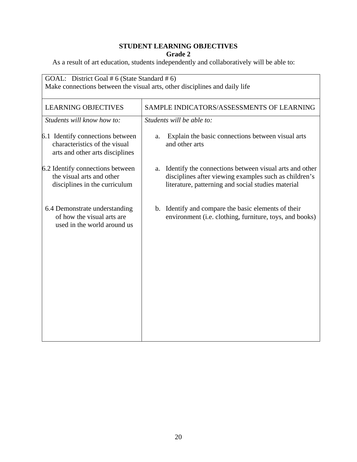| GOAL: District Goal # 6 (State Standard # 6)<br>Make connections between the visual arts, other disciplines and daily life |                                                                                                                                                                          |
|----------------------------------------------------------------------------------------------------------------------------|--------------------------------------------------------------------------------------------------------------------------------------------------------------------------|
| <b>LEARNING OBJECTIVES</b>                                                                                                 | SAMPLE INDICATORS/ASSESSMENTS OF LEARNING                                                                                                                                |
| Students will know how to:                                                                                                 | Students will be able to:                                                                                                                                                |
| 6.1 Identify connections between<br>characteristics of the visual<br>arts and other arts disciplines                       | Explain the basic connections between visual arts<br>a.<br>and other arts                                                                                                |
| 6.2 Identify connections between<br>the visual arts and other<br>disciplines in the curriculum                             | a. Identify the connections between visual arts and other<br>disciplines after viewing examples such as children's<br>literature, patterning and social studies material |
| 6.4 Demonstrate understanding<br>of how the visual arts are<br>used in the world around us                                 | b. Identify and compare the basic elements of their<br>environment (i.e. clothing, furniture, toys, and books)                                                           |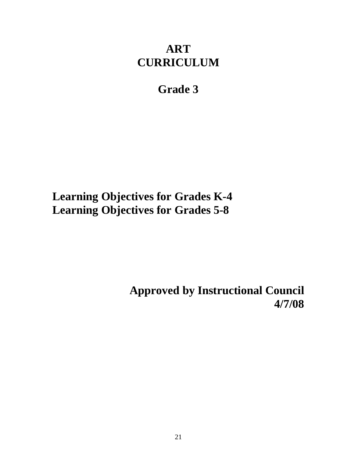# **ART CURRICULUM**

# **Grade 3**

**Learning Objectives for Grades K-4 Learning Objectives for Grades 5-8** 

> **Approved by Instructional Council 4/7/08**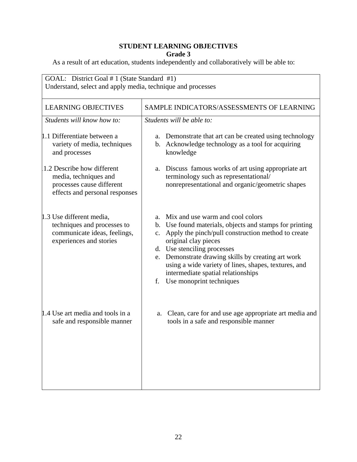| GOAL: District Goal # 1 (State Standard #1)<br>Understand, select and apply media, technique and processes         |                                                                                                                                                                                                                                                                                                                                                                                                               |
|--------------------------------------------------------------------------------------------------------------------|---------------------------------------------------------------------------------------------------------------------------------------------------------------------------------------------------------------------------------------------------------------------------------------------------------------------------------------------------------------------------------------------------------------|
| <b>LEARNING OBJECTIVES</b>                                                                                         | SAMPLE INDICATORS/ASSESSMENTS OF LEARNING                                                                                                                                                                                                                                                                                                                                                                     |
| Students will know how to:                                                                                         | Students will be able to:                                                                                                                                                                                                                                                                                                                                                                                     |
| 1.1 Differentiate between a<br>variety of media, techniques<br>and processes                                       | a. Demonstrate that art can be created using technology<br>b. Acknowledge technology as a tool for acquiring<br>knowledge                                                                                                                                                                                                                                                                                     |
| 1.2 Describe how different<br>media, techniques and<br>processes cause different<br>effects and personal responses | a. Discuss famous works of art using appropriate art<br>terminology such as representational/<br>nonrepresentational and organic/geometric shapes                                                                                                                                                                                                                                                             |
| 1.3 Use different media,<br>techniques and processes to<br>communicate ideas, feelings,<br>experiences and stories | a. Mix and use warm and cool colors<br>b. Use found materials, objects and stamps for printing<br>Apply the pinch/pull construction method to create<br>$c_{\cdot}$<br>original clay pieces<br>d. Use stenciling processes<br>e. Demonstrate drawing skills by creating art work<br>using a wide variety of lines, shapes, textures, and<br>intermediate spatial relationships<br>f. Use monoprint techniques |
| 1.4 Use art media and tools in a<br>safe and responsible manner                                                    | Clean, care for and use age appropriate art media and<br>a.<br>tools in a safe and responsible manner                                                                                                                                                                                                                                                                                                         |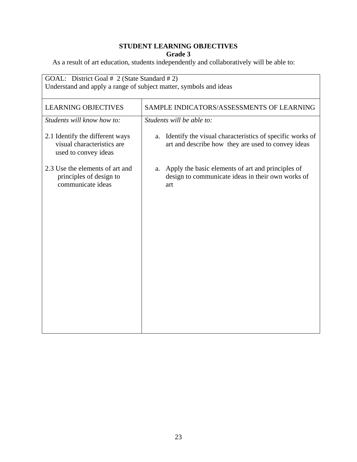| Understand and apply a range of subject matter, symbols and ideas                     |                                                                                                                      |
|---------------------------------------------------------------------------------------|----------------------------------------------------------------------------------------------------------------------|
| <b>LEARNING OBJECTIVES</b>                                                            | SAMPLE INDICATORS/ASSESSMENTS OF LEARNING                                                                            |
| Students will know how to:                                                            | Students will be able to:                                                                                            |
| 2.1 Identify the different ways<br>visual characteristics are<br>used to convey ideas | Identify the visual characteristics of specific works of<br>a.<br>art and describe how they are used to convey ideas |
| 2.3 Use the elements of art and<br>principles of design to<br>communicate ideas       | a. Apply the basic elements of art and principles of<br>design to communicate ideas in their own works of<br>art     |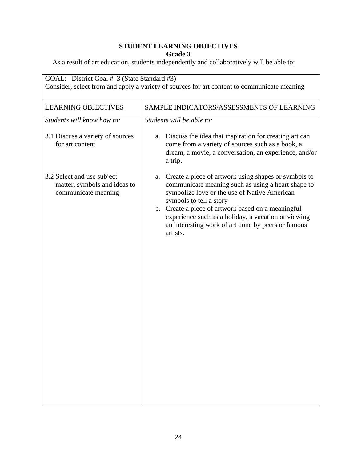| <b>LEARNING OBJECTIVES</b>                                                        | SAMPLE INDICATORS/ASSESSMENTS OF LEARNING                                                                                                                                                                                                                                                                                                                                  |
|-----------------------------------------------------------------------------------|----------------------------------------------------------------------------------------------------------------------------------------------------------------------------------------------------------------------------------------------------------------------------------------------------------------------------------------------------------------------------|
| Students will know how to:                                                        | Students will be able to:                                                                                                                                                                                                                                                                                                                                                  |
| 3.1 Discuss a variety of sources<br>for art content                               | a. Discuss the idea that inspiration for creating art can<br>come from a variety of sources such as a book, a<br>dream, a movie, a conversation, an experience, and/or<br>a trip.                                                                                                                                                                                          |
| 3.2 Select and use subject<br>matter, symbols and ideas to<br>communicate meaning | Create a piece of artwork using shapes or symbols to<br>a.<br>communicate meaning such as using a heart shape to<br>symbolize love or the use of Native American<br>symbols to tell a story<br>b. Create a piece of artwork based on a meaningful<br>experience such as a holiday, a vacation or viewing<br>an interesting work of art done by peers or famous<br>artists. |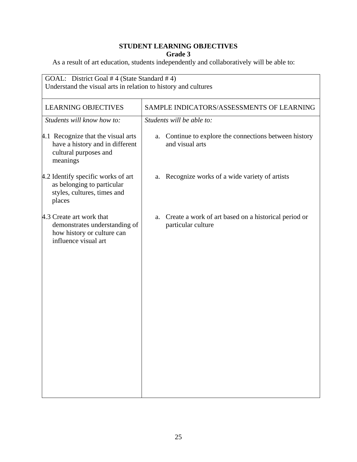| GOAL: District Goal #4 (State Standard #4)<br>Understand the visual arts in relation to history and cultures    |                                                                                  |
|-----------------------------------------------------------------------------------------------------------------|----------------------------------------------------------------------------------|
| <b>LEARNING OBJECTIVES</b>                                                                                      | SAMPLE INDICATORS/ASSESSMENTS OF LEARNING                                        |
| Students will know how to:                                                                                      | Students will be able to:                                                        |
| 4.1 Recognize that the visual arts<br>have a history and in different<br>cultural purposes and<br>meanings      | Continue to explore the connections between history<br>a.<br>and visual arts     |
| 4.2 Identify specific works of art<br>as belonging to particular<br>styles, cultures, times and<br>places       | a. Recognize works of a wide variety of artists                                  |
| 4.3 Create art work that<br>demonstrates understanding of<br>how history or culture can<br>influence visual art | Create a work of art based on a historical period or<br>a.<br>particular culture |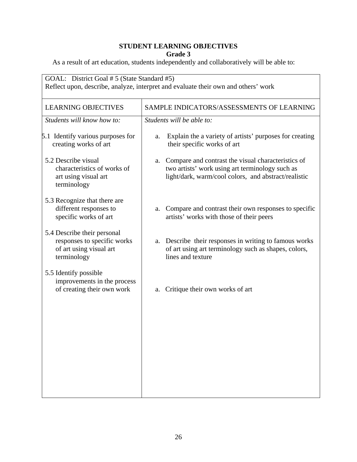| <b>LEARNING OBJECTIVES</b>                                                                           | SAMPLE INDICATORS/ASSESSMENTS OF LEARNING                                                                                                                        |
|------------------------------------------------------------------------------------------------------|------------------------------------------------------------------------------------------------------------------------------------------------------------------|
| Students will know how to:                                                                           | Students will be able to:                                                                                                                                        |
| 5.1 Identify various purposes for<br>creating works of art                                           | Explain the a variety of artists' purposes for creating<br>a.<br>their specific works of art                                                                     |
| 5.2 Describe visual<br>characteristics of works of<br>art using visual art<br>terminology            | a. Compare and contrast the visual characteristics of<br>two artists' work using art terminology such as<br>light/dark, warm/cool colors, and abstract/realistic |
| 5.3 Recognize that there are<br>different responses to<br>specific works of art                      | a. Compare and contrast their own responses to specific<br>artists' works with those of their peers                                                              |
| 5.4 Describe their personal<br>responses to specific works<br>of art using visual art<br>terminology | a. Describe their responses in writing to famous works<br>of art using art terminology such as shapes, colors,<br>lines and texture                              |
| 5.5 Identify possible<br>improvements in the process<br>of creating their own work                   | Critique their own works of art<br>а.                                                                                                                            |
|                                                                                                      |                                                                                                                                                                  |
|                                                                                                      |                                                                                                                                                                  |
|                                                                                                      |                                                                                                                                                                  |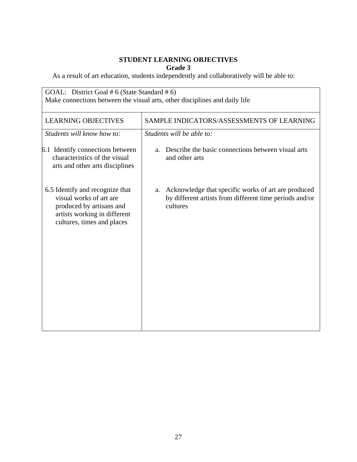| GOAL: District Goal # 6 (State Standard # 6)<br>Make connections between the visual arts, other disciplines and daily life                           |                                                                                                                                  |
|------------------------------------------------------------------------------------------------------------------------------------------------------|----------------------------------------------------------------------------------------------------------------------------------|
| <b>LEARNING OBJECTIVES</b>                                                                                                                           | SAMPLE INDICATORS/ASSESSMENTS OF LEARNING                                                                                        |
| Students will know how to:                                                                                                                           | Students will be able to:                                                                                                        |
| 6.1 Identify connections between<br>characteristics of the visual<br>arts and other arts disciplines                                                 | Describe the basic connections between visual arts<br>a.<br>and other arts                                                       |
| 6.5 Identify and recognize that<br>visual works of art are<br>produced by artisans and<br>artists working in different<br>cultures, times and places | Acknowledge that specific works of art are produced<br>a.<br>by different artists from different time periods and/or<br>cultures |
|                                                                                                                                                      |                                                                                                                                  |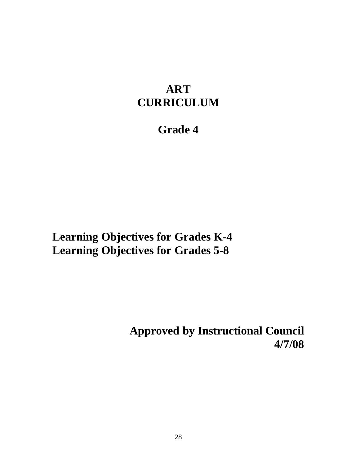# **ART CURRICULUM**

## **Grade 4**

**Learning Objectives for Grades K-4 Learning Objectives for Grades 5-8** 

> **Approved by Instructional Council 4/7/08**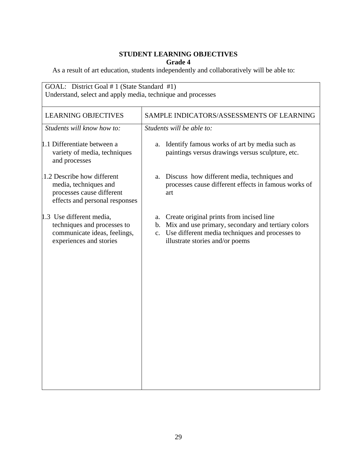| GOAL: District Goal # 1 (State Standard #1)<br>Understand, select and apply media, technique and processes         |                                                                                                                                                                                               |
|--------------------------------------------------------------------------------------------------------------------|-----------------------------------------------------------------------------------------------------------------------------------------------------------------------------------------------|
| <b>LEARNING OBJECTIVES</b>                                                                                         | SAMPLE INDICATORS/ASSESSMENTS OF LEARNING                                                                                                                                                     |
| Students will know how to:                                                                                         | Students will be able to:                                                                                                                                                                     |
| 1.1 Differentiate between a<br>variety of media, techniques<br>and processes                                       | Identify famous works of art by media such as<br>a.<br>paintings versus drawings versus sculpture, etc.                                                                                       |
| 1.2 Describe how different<br>media, techniques and<br>processes cause different<br>effects and personal responses | Discuss how different media, techniques and<br>a.<br>processes cause different effects in famous works of<br>art                                                                              |
| 1.3 Use different media,<br>techniques and processes to<br>communicate ideas, feelings,<br>experiences and stories | a. Create original prints from incised line<br>b. Mix and use primary, secondary and tertiary colors<br>c. Use different media techniques and processes to<br>illustrate stories and/or poems |
|                                                                                                                    |                                                                                                                                                                                               |
|                                                                                                                    |                                                                                                                                                                                               |
|                                                                                                                    |                                                                                                                                                                                               |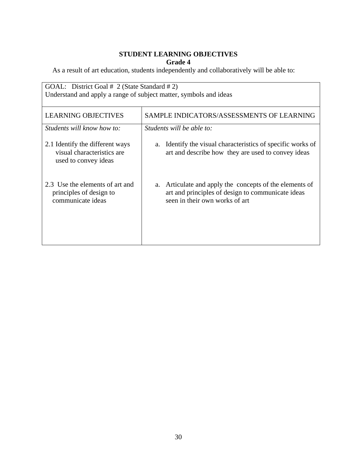| GOAL: District Goal # 2 (State Standard # 2)                                          |                                                                                                                                                   |
|---------------------------------------------------------------------------------------|---------------------------------------------------------------------------------------------------------------------------------------------------|
| Understand and apply a range of subject matter, symbols and ideas                     |                                                                                                                                                   |
| <b>LEARNING OBJECTIVES</b>                                                            | SAMPLE INDICATORS/ASSESSMENTS OF LEARNING                                                                                                         |
| Students will know how to:                                                            | Students will be able to:                                                                                                                         |
| 2.1 Identify the different ways<br>visual characteristics are<br>used to convey ideas | Identify the visual characteristics of specific works of<br>a.<br>art and describe how they are used to convey ideas                              |
| 2.3 Use the elements of art and<br>principles of design to<br>communicate ideas       | Articulate and apply the concepts of the elements of<br>a.<br>art and principles of design to communicate ideas<br>seen in their own works of art |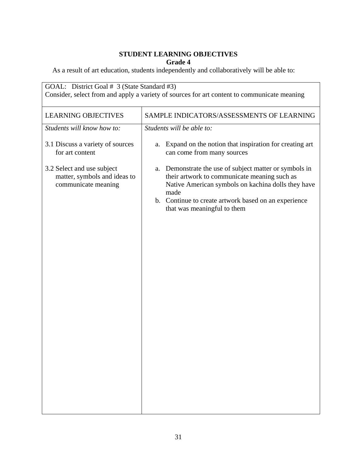| <b>LEARNING OBJECTIVES</b>                                                        | SAMPLE INDICATORS/ASSESSMENTS OF LEARNING                                                                                                                                                                                                                   |
|-----------------------------------------------------------------------------------|-------------------------------------------------------------------------------------------------------------------------------------------------------------------------------------------------------------------------------------------------------------|
| Students will know how to:                                                        | Students will be able to:                                                                                                                                                                                                                                   |
| 3.1 Discuss a variety of sources<br>for art content                               | Expand on the notion that inspiration for creating art<br>a.<br>can come from many sources                                                                                                                                                                  |
| 3.2 Select and use subject<br>matter, symbols and ideas to<br>communicate meaning | a. Demonstrate the use of subject matter or symbols in<br>their artwork to communicate meaning such as<br>Native American symbols on kachina dolls they have<br>made<br>b. Continue to create artwork based on an experience<br>that was meaningful to them |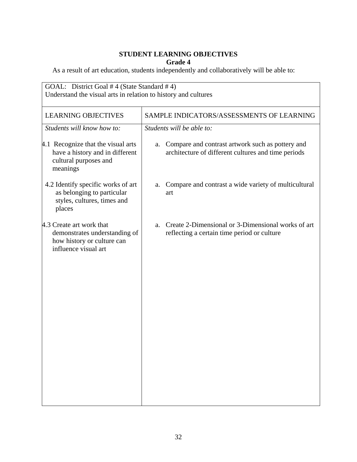| GOAL: District Goal #4 (State Standard #4)<br>Understand the visual arts in relation to history and cultures    |                                                                                                               |
|-----------------------------------------------------------------------------------------------------------------|---------------------------------------------------------------------------------------------------------------|
| <b>LEARNING OBJECTIVES</b>                                                                                      | SAMPLE INDICATORS/ASSESSMENTS OF LEARNING                                                                     |
| Students will know how to:                                                                                      | Students will be able to:                                                                                     |
| 4.1 Recognize that the visual arts<br>have a history and in different<br>cultural purposes and<br>meanings      | Compare and contrast artwork such as pottery and<br>a.<br>architecture of different cultures and time periods |
| 4.2 Identify specific works of art<br>as belonging to particular<br>styles, cultures, times and<br>places       | Compare and contrast a wide variety of multicultural<br>a.<br>art                                             |
| 4.3 Create art work that<br>demonstrates understanding of<br>how history or culture can<br>influence visual art | Create 2-Dimensional or 3-Dimensional works of art<br>a.<br>reflecting a certain time period or culture       |
|                                                                                                                 |                                                                                                               |
|                                                                                                                 |                                                                                                               |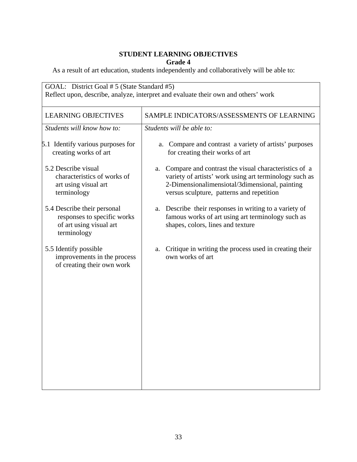| GOAL: District Goal # 5 (State Standard #5)<br>Reflect upon, describe, analyze, interpret and evaluate their own and others' work |                                                                                                                                                                                                                     |
|-----------------------------------------------------------------------------------------------------------------------------------|---------------------------------------------------------------------------------------------------------------------------------------------------------------------------------------------------------------------|
| <b>LEARNING OBJECTIVES</b>                                                                                                        | SAMPLE INDICATORS/ASSESSMENTS OF LEARNING                                                                                                                                                                           |
| Students will know how to:                                                                                                        | Students will be able to:                                                                                                                                                                                           |
| 5.1 Identify various purposes for<br>creating works of art                                                                        | Compare and contrast a variety of artists' purposes<br>a.<br>for creating their works of art                                                                                                                        |
| 5.2 Describe visual<br>characteristics of works of<br>art using visual art<br>terminology                                         | Compare and contrast the visual characteristics of a<br>a.<br>variety of artists' work using art terminology such as<br>2-Dimensionalimensiotal/3dimensional, painting<br>versus sculpture, patterns and repetition |
| 5.4 Describe their personal<br>responses to specific works<br>of art using visual art<br>terminology                              | a. Describe their responses in writing to a variety of<br>famous works of art using art terminology such as<br>shapes, colors, lines and texture                                                                    |
| 5.5 Identify possible<br>improvements in the process<br>of creating their own work                                                | Critique in writing the process used in creating their<br>a.<br>own works of art                                                                                                                                    |
|                                                                                                                                   |                                                                                                                                                                                                                     |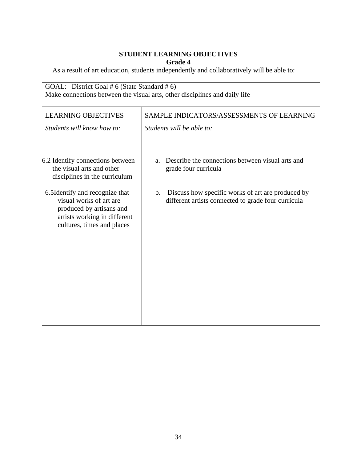| GOAL: District Goal # 6 (State Standard # 6)<br>Make connections between the visual arts, other disciplines and daily life                          |                                                                                                                |
|-----------------------------------------------------------------------------------------------------------------------------------------------------|----------------------------------------------------------------------------------------------------------------|
| <b>LEARNING OBJECTIVES</b>                                                                                                                          | SAMPLE INDICATORS/ASSESSMENTS OF LEARNING                                                                      |
| Students will know how to:                                                                                                                          | Students will be able to:                                                                                      |
| 6.2 Identify connections between<br>the visual arts and other<br>disciplines in the curriculum                                                      | Describe the connections between visual arts and<br>a.<br>grade four curricula                                 |
| 6.5Identify and recognize that<br>visual works of art are<br>produced by artisans and<br>artists working in different<br>cultures, times and places | Discuss how specific works of art are produced by<br>b.<br>different artists connected to grade four curricula |
|                                                                                                                                                     |                                                                                                                |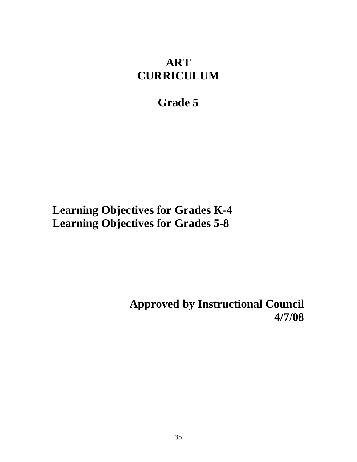### **ART CURRICULUM**

### **Grade 5**

# **Learning Objectives for Grades K-4 Learning Objectives for Grades 5-8**

**Approved by Instructional Council 4/7/08**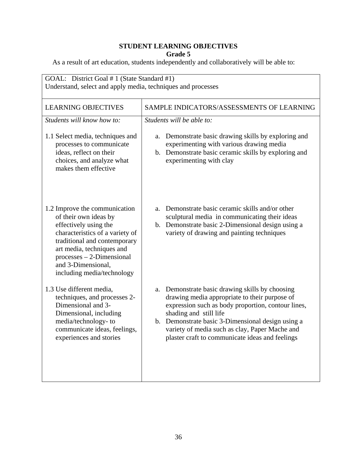| GOAL: District Goal # 1 (State Standard #1)<br>Understand, select and apply media, techniques and processes                                                                                                                                                        |                                                                                                                                                                                                                                                                                                                                               |
|--------------------------------------------------------------------------------------------------------------------------------------------------------------------------------------------------------------------------------------------------------------------|-----------------------------------------------------------------------------------------------------------------------------------------------------------------------------------------------------------------------------------------------------------------------------------------------------------------------------------------------|
| <b>LEARNING OBJECTIVES</b>                                                                                                                                                                                                                                         | SAMPLE INDICATORS/ASSESSMENTS OF LEARNING                                                                                                                                                                                                                                                                                                     |
| Students will know how to:                                                                                                                                                                                                                                         | Students will be able to:                                                                                                                                                                                                                                                                                                                     |
| 1.1 Select media, techniques and<br>processes to communicate<br>ideas, reflect on their<br>choices, and analyze what<br>makes them effective                                                                                                                       | Demonstrate basic drawing skills by exploring and<br>a.<br>experimenting with various drawing media<br>b. Demonstrate basic ceramic skills by exploring and<br>experimenting with clay                                                                                                                                                        |
| 1.2 Improve the communication<br>of their own ideas by<br>effectively using the<br>characteristics of a variety of<br>traditional and contemporary<br>art media, techniques and<br>$processes - 2-Dimensional$<br>and 3-Dimensional,<br>including media/technology | Demonstrate basic ceramic skills and/or other<br>a.<br>sculptural media in communicating their ideas<br>b. Demonstrate basic 2-Dimensional design using a<br>variety of drawing and painting techniques                                                                                                                                       |
| 1.3 Use different media,<br>techniques, and processes 2-<br>Dimensional and 3-<br>Dimensional, including<br>media/technology-to<br>communicate ideas, feelings,<br>experiences and stories                                                                         | Demonstrate basic drawing skills by choosing<br>a.<br>drawing media appropriate to their purpose of<br>expression such as body proportion, contour lines,<br>shading and still life<br>b. Demonstrate basic 3-Dimensional design using a<br>variety of media such as clay, Paper Mache and<br>plaster craft to communicate ideas and feelings |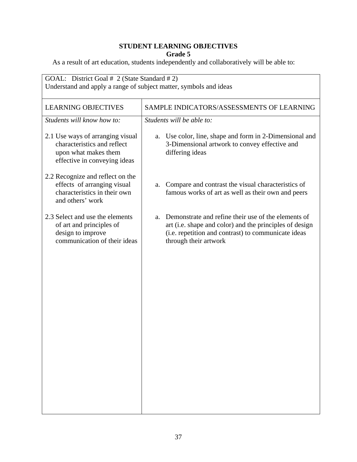| GOAL: District Goal # 2 (State Standard # 2)<br>Understand and apply a range of subject matter, symbols and ideas                                                     |  |
|-----------------------------------------------------------------------------------------------------------------------------------------------------------------------|--|
| SAMPLE INDICATORS/ASSESSMENTS OF LEARNING                                                                                                                             |  |
|                                                                                                                                                                       |  |
| Use color, line, shape and form in 2-Dimensional and<br>3-Dimensional artwork to convey effective and                                                                 |  |
| Compare and contrast the visual characteristics of<br>famous works of art as well as their own and peers                                                              |  |
| Demonstrate and refine their use of the elements of<br>art (i.e. shape and color) and the principles of design<br>(i.e. repetition and contrast) to communicate ideas |  |
|                                                                                                                                                                       |  |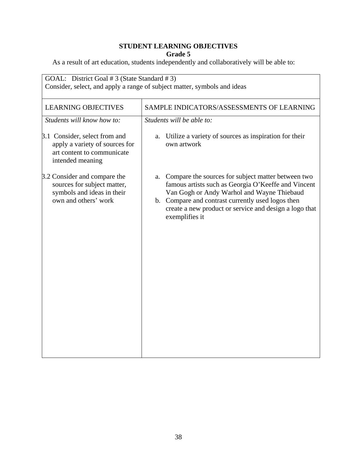| <b>LEARNING OBJECTIVES</b>                                                                                        | SAMPLE INDICATORS/ASSESSMENTS OF LEARNING                                                                                                                                                                                                                                                      |
|-------------------------------------------------------------------------------------------------------------------|------------------------------------------------------------------------------------------------------------------------------------------------------------------------------------------------------------------------------------------------------------------------------------------------|
| Students will know how to:                                                                                        | Students will be able to:                                                                                                                                                                                                                                                                      |
| 3.1 Consider, select from and<br>apply a variety of sources for<br>art content to communicate<br>intended meaning | a. Utilize a variety of sources as inspiration for their<br>own artwork                                                                                                                                                                                                                        |
| 3.2 Consider and compare the<br>sources for subject matter,<br>symbols and ideas in their<br>own and others' work | Compare the sources for subject matter between two<br>a.<br>famous artists such as Georgia O'Keeffe and Vincent<br>Van Gogh or Andy Warhol and Wayne Thiebaud<br>b. Compare and contrast currently used logos then<br>create a new product or service and design a logo that<br>exemplifies it |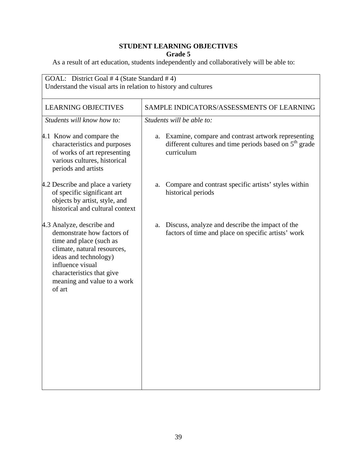| GOAL: District Goal #4 (State Standard #4)<br>Understand the visual arts in relation to history and cultures                                                                                                                         |                                                                                                                                    |
|--------------------------------------------------------------------------------------------------------------------------------------------------------------------------------------------------------------------------------------|------------------------------------------------------------------------------------------------------------------------------------|
| <b>LEARNING OBJECTIVES</b>                                                                                                                                                                                                           | SAMPLE INDICATORS/ASSESSMENTS OF LEARNING                                                                                          |
| Students will know how to:                                                                                                                                                                                                           | Students will be able to:                                                                                                          |
| 4.1 Know and compare the<br>characteristics and purposes<br>of works of art representing<br>various cultures, historical<br>periods and artists                                                                                      | Examine, compare and contrast artwork representing<br>a.<br>different cultures and time periods based on $5th$ grade<br>curriculum |
| 4.2 Describe and place a variety<br>of specific significant art<br>objects by artist, style, and<br>historical and cultural context                                                                                                  | Compare and contrast specific artists' styles within<br>a.<br>historical periods                                                   |
| 4.3 Analyze, describe and<br>demonstrate how factors of<br>time and place (such as<br>climate, natural resources,<br>ideas and technology)<br>influence visual<br>characteristics that give<br>meaning and value to a work<br>of art | Discuss, analyze and describe the impact of the<br>a.<br>factors of time and place on specific artists' work                       |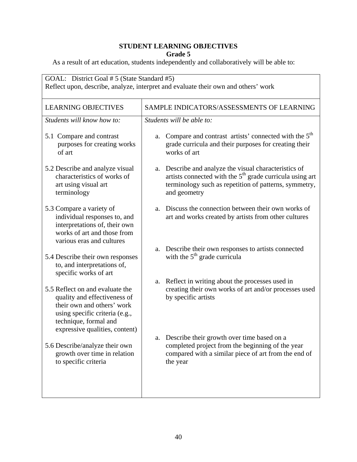| SAMPLE INDICATORS/ASSESSMENTS OF LEARNING                                                                                                                                                                 |
|-----------------------------------------------------------------------------------------------------------------------------------------------------------------------------------------------------------|
| Students will be able to:                                                                                                                                                                                 |
| Compare and contrast artists' connected with the 5 <sup>th</sup><br>a.<br>grade curricula and their purposes for creating their<br>works of art                                                           |
| Describe and analyze the visual characteristics of<br>a.<br>artists connected with the 5 <sup>th</sup> grade curricula using art<br>terminology such as repetition of patterns, symmetry,<br>and geometry |
| Discuss the connection between their own works of<br>a.<br>art and works created by artists from other cultures                                                                                           |
| Describe their own responses to artists connected<br>a.<br>with the $5th$ grade curricula                                                                                                                 |
| Reflect in writing about the processes used in<br>a.<br>creating their own works of art and/or processes used<br>by specific artists                                                                      |
| a. Describe their growth over time based on a<br>completed project from the beginning of the year<br>compared with a similar piece of art from the end of<br>the year                                     |
|                                                                                                                                                                                                           |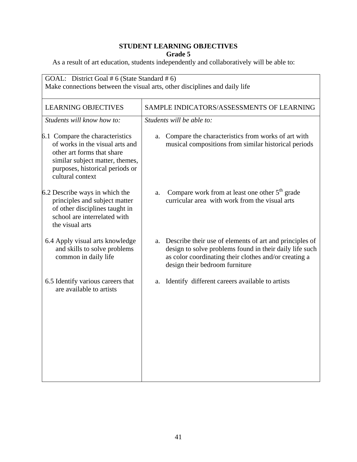| GOAL: District Goal # 6 (State Standard # 6)<br>Make connections between the visual arts, other disciplines and daily life                                                                 |                                                                                                                                                                                                                  |
|--------------------------------------------------------------------------------------------------------------------------------------------------------------------------------------------|------------------------------------------------------------------------------------------------------------------------------------------------------------------------------------------------------------------|
| <b>LEARNING OBJECTIVES</b>                                                                                                                                                                 | SAMPLE INDICATORS/ASSESSMENTS OF LEARNING                                                                                                                                                                        |
| Students will know how to:                                                                                                                                                                 | Students will be able to:                                                                                                                                                                                        |
| 6.1 Compare the characteristics<br>of works in the visual arts and<br>other art forms that share<br>similar subject matter, themes,<br>purposes, historical periods or<br>cultural context | Compare the characteristics from works of art with<br>a.<br>musical compositions from similar historical periods                                                                                                 |
| 6.2 Describe ways in which the<br>principles and subject matter<br>of other disciplines taught in<br>school are interrelated with<br>the visual arts                                       | Compare work from at least one other $5th$ grade<br>a.<br>curricular area with work from the visual arts                                                                                                         |
| 6.4 Apply visual arts knowledge<br>and skills to solve problems<br>common in daily life                                                                                                    | a. Describe their use of elements of art and principles of<br>design to solve problems found in their daily life such<br>as color coordinating their clothes and/or creating a<br>design their bedroom furniture |
| 6.5 Identify various careers that<br>are available to artists                                                                                                                              | Identify different careers available to artists<br>a.                                                                                                                                                            |
|                                                                                                                                                                                            |                                                                                                                                                                                                                  |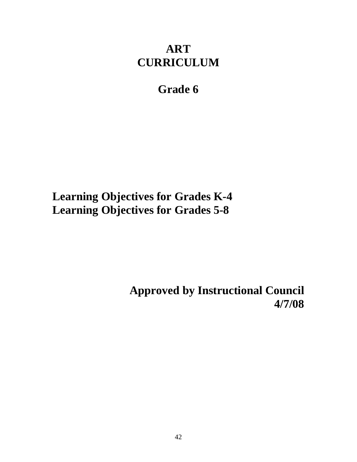# **ART CURRICULUM**

# **Grade 6**

**Learning Objectives for Grades K-4 Learning Objectives for Grades 5-8** 

> **Approved by Instructional Council 4/7/08**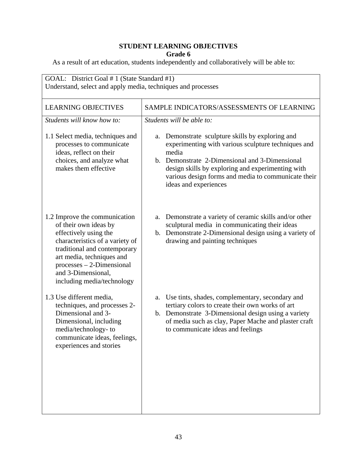| GOAL: District Goal # 1 (State Standard #1)<br>Understand, select and apply media, techniques and processes                                                                                                                                                        |                                                                                                                                                                                                                                                                                                            |
|--------------------------------------------------------------------------------------------------------------------------------------------------------------------------------------------------------------------------------------------------------------------|------------------------------------------------------------------------------------------------------------------------------------------------------------------------------------------------------------------------------------------------------------------------------------------------------------|
| <b>LEARNING OBJECTIVES</b>                                                                                                                                                                                                                                         | SAMPLE INDICATORS/ASSESSMENTS OF LEARNING                                                                                                                                                                                                                                                                  |
| Students will know how to:                                                                                                                                                                                                                                         | Students will be able to:                                                                                                                                                                                                                                                                                  |
| 1.1 Select media, techniques and<br>processes to communicate<br>ideas, reflect on their<br>choices, and analyze what<br>makes them effective                                                                                                                       | Demonstrate sculpture skills by exploring and<br>a.<br>experimenting with various sculpture techniques and<br>media<br>b. Demonstrate 2-Dimensional and 3-Dimensional<br>design skills by exploring and experimenting with<br>various design forms and media to communicate their<br>ideas and experiences |
| 1.2 Improve the communication<br>of their own ideas by<br>effectively using the<br>characteristics of a variety of<br>traditional and contemporary<br>art media, techniques and<br>$processes - 2-Dimensional$<br>and 3-Dimensional,<br>including media/technology | Demonstrate a variety of ceramic skills and/or other<br>a.<br>sculptural media in communicating their ideas<br>b. Demonstrate 2-Dimensional design using a variety of<br>drawing and painting techniques                                                                                                   |
| 1.3 Use different media,<br>techniques, and processes 2-<br>Dimensional and 3-<br>Dimensional, including<br>media/technology-to<br>communicate ideas, feelings,<br>experiences and stories                                                                         | a. Use tints, shades, complementary, secondary and<br>tertiary colors to create their own works of art<br>b. Demonstrate 3-Dimensional design using a variety<br>of media such as clay, Paper Mache and plaster craft<br>to communicate ideas and feelings                                                 |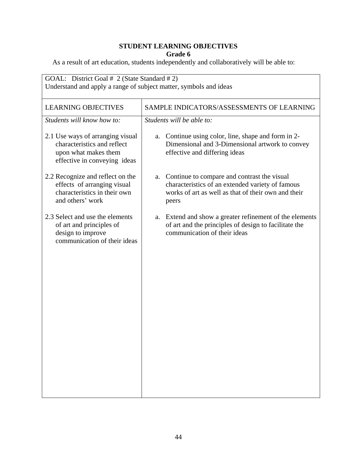| GOAL: District Goal # 2 (State Standard # 2)<br>Understand and apply a range of subject matter, symbols and ideas       |                                                                                                                                                                    |
|-------------------------------------------------------------------------------------------------------------------------|--------------------------------------------------------------------------------------------------------------------------------------------------------------------|
| <b>LEARNING OBJECTIVES</b>                                                                                              | SAMPLE INDICATORS/ASSESSMENTS OF LEARNING                                                                                                                          |
| Students will know how to:                                                                                              | Students will be able to:                                                                                                                                          |
| 2.1 Use ways of arranging visual<br>characteristics and reflect<br>upon what makes them<br>effective in conveying ideas | a. Continue using color, line, shape and form in 2-<br>Dimensional and 3-Dimensional artwork to convey<br>effective and differing ideas                            |
| 2.2 Recognize and reflect on the<br>effects of arranging visual<br>characteristics in their own<br>and others' work     | a. Continue to compare and contrast the visual<br>characteristics of an extended variety of famous<br>works of art as well as that of their own and their<br>peers |
| 2.3 Select and use the elements<br>of art and principles of<br>design to improve<br>communication of their ideas        | Extend and show a greater refinement of the elements<br>a.<br>of art and the principles of design to facilitate the<br>communication of their ideas                |
|                                                                                                                         |                                                                                                                                                                    |
|                                                                                                                         |                                                                                                                                                                    |
|                                                                                                                         |                                                                                                                                                                    |
|                                                                                                                         |                                                                                                                                                                    |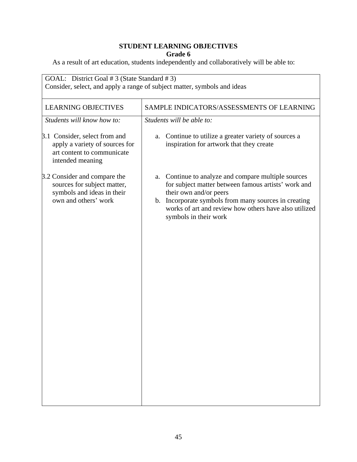| <b>LEARNING OBJECTIVES</b>                                                                                        | SAMPLE INDICATORS/ASSESSMENTS OF LEARNING                                                                                                                                                                                                                                      |
|-------------------------------------------------------------------------------------------------------------------|--------------------------------------------------------------------------------------------------------------------------------------------------------------------------------------------------------------------------------------------------------------------------------|
| Students will know how to:                                                                                        | Students will be able to:                                                                                                                                                                                                                                                      |
| 3.1 Consider, select from and<br>apply a variety of sources for<br>art content to communicate<br>intended meaning | Continue to utilize a greater variety of sources a<br>a.<br>inspiration for artwork that they create                                                                                                                                                                           |
| 3.2 Consider and compare the<br>sources for subject matter,<br>symbols and ideas in their<br>own and others' work | a. Continue to analyze and compare multiple sources<br>for subject matter between famous artists' work and<br>their own and/or peers<br>b. Incorporate symbols from many sources in creating<br>works of art and review how others have also utilized<br>symbols in their work |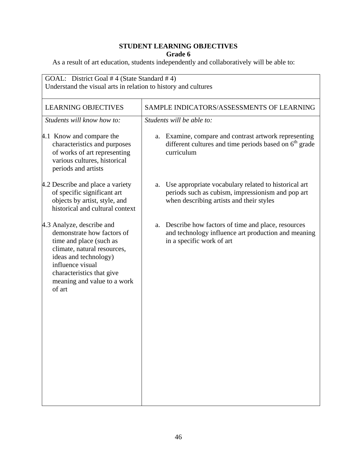| GOAL: District Goal #4 (State Standard #4)<br>Understand the visual arts in relation to history and cultures                                                                                                                         |                                                                                                                                                             |
|--------------------------------------------------------------------------------------------------------------------------------------------------------------------------------------------------------------------------------------|-------------------------------------------------------------------------------------------------------------------------------------------------------------|
| <b>LEARNING OBJECTIVES</b>                                                                                                                                                                                                           | SAMPLE INDICATORS/ASSESSMENTS OF LEARNING                                                                                                                   |
| Students will know how to:                                                                                                                                                                                                           | Students will be able to:                                                                                                                                   |
| 4.1 Know and compare the<br>characteristics and purposes<br>of works of art representing<br>various cultures, historical<br>periods and artists                                                                                      | a. Examine, compare and contrast artwork representing<br>different cultures and time periods based on 6 <sup>th</sup> grade<br>curriculum                   |
| 4.2 Describe and place a variety<br>of specific significant art<br>objects by artist, style, and<br>historical and cultural context                                                                                                  | Use appropriate vocabulary related to historical art<br>a.<br>periods such as cubism, impressionism and pop art<br>when describing artists and their styles |
| 4.3 Analyze, describe and<br>demonstrate how factors of<br>time and place (such as<br>climate, natural resources,<br>ideas and technology)<br>influence visual<br>characteristics that give<br>meaning and value to a work<br>of art | Describe how factors of time and place, resources<br>a.<br>and technology influence art production and meaning<br>in a specific work of art                 |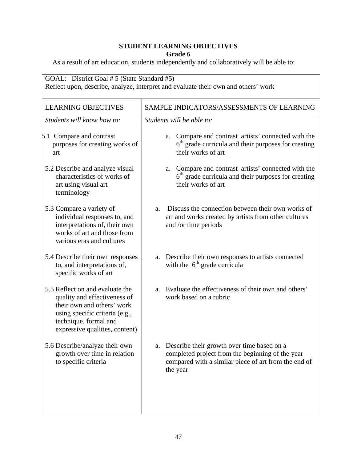| GOAL: District Goal # 5 (State Standard #5)<br>Reflect upon, describe, analyze, interpret and evaluate their own and others' work                                                          |                                                                                                                                                                          |
|--------------------------------------------------------------------------------------------------------------------------------------------------------------------------------------------|--------------------------------------------------------------------------------------------------------------------------------------------------------------------------|
| <b>LEARNING OBJECTIVES</b>                                                                                                                                                                 | SAMPLE INDICATORS/ASSESSMENTS OF LEARNING                                                                                                                                |
| Students will know how to:                                                                                                                                                                 | Students will be able to:                                                                                                                                                |
| 5.1 Compare and contrast<br>purposes for creating works of<br>art                                                                                                                          | Compare and contrast artists' connected with the<br>a.<br>$6th$ grade curricula and their purposes for creating<br>their works of art                                    |
| 5.2 Describe and analyze visual<br>characteristics of works of<br>art using visual art<br>terminology                                                                                      | Compare and contrast artists' connected with the<br>a.<br>$6th$ grade curricula and their purposes for creating<br>their works of art                                    |
| 5.3 Compare a variety of<br>individual responses to, and<br>interpretations of, their own<br>works of art and those from<br>various eras and cultures                                      | Discuss the connection between their own works of<br>a.<br>art and works created by artists from other cultures<br>and /or time periods                                  |
| 5.4 Describe their own responses<br>to, and interpretations of,<br>specific works of art                                                                                                   | a. Describe their own responses to artists connected<br>with the $6th$ grade curricula                                                                                   |
| 5.5 Reflect on and evaluate the<br>quality and effectiveness of<br>their own and others' work<br>using specific criteria (e.g.,<br>technique, formal and<br>expressive qualities, content) | Evaluate the effectiveness of their own and others'<br>a.<br>work based on a rubric                                                                                      |
| 5.6 Describe/analyze their own<br>growth over time in relation<br>to specific criteria                                                                                                     | Describe their growth over time based on a<br>a.<br>completed project from the beginning of the year<br>compared with a similar piece of art from the end of<br>the year |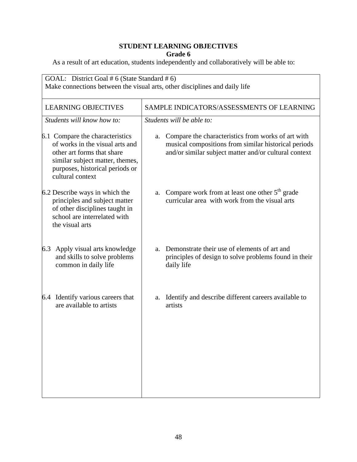| GOAL: District Goal # 6 (State Standard # 6)<br>Make connections between the visual arts, other disciplines and daily life                                                                 |                                                                                                                                                                           |
|--------------------------------------------------------------------------------------------------------------------------------------------------------------------------------------------|---------------------------------------------------------------------------------------------------------------------------------------------------------------------------|
| <b>LEARNING OBJECTIVES</b>                                                                                                                                                                 | SAMPLE INDICATORS/ASSESSMENTS OF LEARNING                                                                                                                                 |
| Students will know how to:                                                                                                                                                                 | Students will be able to:                                                                                                                                                 |
| 6.1 Compare the characteristics<br>of works in the visual arts and<br>other art forms that share<br>similar subject matter, themes,<br>purposes, historical periods or<br>cultural context | Compare the characteristics from works of art with<br>a.<br>musical compositions from similar historical periods<br>and/or similar subject matter and/or cultural context |
| 6.2 Describe ways in which the<br>principles and subject matter<br>of other disciplines taught in<br>school are interrelated with<br>the visual arts                                       | Compare work from at least one other $5th$ grade<br>a.<br>curricular area with work from the visual arts                                                                  |
| Apply visual arts knowledge<br>6.3<br>and skills to solve problems<br>common in daily life                                                                                                 | Demonstrate their use of elements of art and<br>a.<br>principles of design to solve problems found in their<br>daily life                                                 |
| 6.4 Identify various careers that<br>are available to artists                                                                                                                              | Identify and describe different careers available to<br>a.<br>artists                                                                                                     |
|                                                                                                                                                                                            |                                                                                                                                                                           |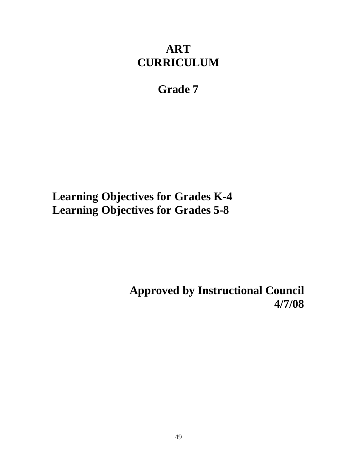# **ART CURRICULUM**

## **Grade 7**

**Learning Objectives for Grades K-4 Learning Objectives for Grades 5-8** 

> **Approved by Instructional Council 4/7/08**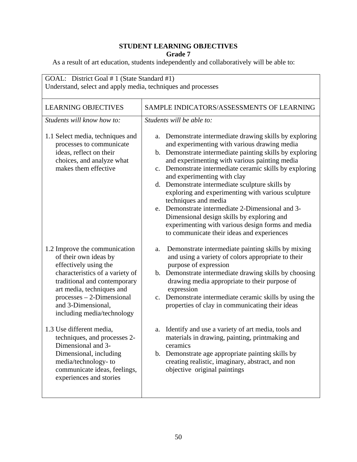| GOAL: District Goal # 1 (State Standard #1)<br>Understand, select and apply media, techniques and processes                                                                                                                                                        |                                                                                                                                                                                                                                                                                                                                                                                                                                                                                                                                                                                                                                                         |  |
|--------------------------------------------------------------------------------------------------------------------------------------------------------------------------------------------------------------------------------------------------------------------|---------------------------------------------------------------------------------------------------------------------------------------------------------------------------------------------------------------------------------------------------------------------------------------------------------------------------------------------------------------------------------------------------------------------------------------------------------------------------------------------------------------------------------------------------------------------------------------------------------------------------------------------------------|--|
| <b>LEARNING OBJECTIVES</b>                                                                                                                                                                                                                                         | SAMPLE INDICATORS/ASSESSMENTS OF LEARNING                                                                                                                                                                                                                                                                                                                                                                                                                                                                                                                                                                                                               |  |
| Students will know how to:                                                                                                                                                                                                                                         | Students will be able to:                                                                                                                                                                                                                                                                                                                                                                                                                                                                                                                                                                                                                               |  |
| 1.1 Select media, techniques and<br>processes to communicate<br>ideas, reflect on their<br>choices, and analyze what<br>makes them effective                                                                                                                       | Demonstrate intermediate drawing skills by exploring<br>a.<br>and experimenting with various drawing media<br>b. Demonstrate intermediate painting skills by exploring<br>and experimenting with various painting media<br>c. Demonstrate intermediate ceramic skills by exploring<br>and experimenting with clay<br>d. Demonstrate intermediate sculpture skills by<br>exploring and experimenting with various sculpture<br>techniques and media<br>e. Demonstrate intermediate 2-Dimensional and 3-<br>Dimensional design skills by exploring and<br>experimenting with various design forms and media<br>to communicate their ideas and experiences |  |
| 1.2 Improve the communication<br>of their own ideas by<br>effectively using the<br>characteristics of a variety of<br>traditional and contemporary<br>art media, techniques and<br>$processes - 2-Dimensional$<br>and 3-Dimensional,<br>including media/technology | Demonstrate intermediate painting skills by mixing<br>a.<br>and using a variety of colors appropriate to their<br>purpose of expression<br>b. Demonstrate intermediate drawing skills by choosing<br>drawing media appropriate to their purpose of<br>expression<br>c. Demonstrate intermediate ceramic skills by using the<br>properties of clay in communicating their ideas                                                                                                                                                                                                                                                                          |  |
| 1.3 Use different media,<br>techniques, and processes 2-<br>Dimensional and 3-<br>Dimensional, including<br>media/technology-to<br>communicate ideas, feelings,<br>experiences and stories                                                                         | a. Identify and use a variety of art media, tools and<br>materials in drawing, painting, printmaking and<br>ceramics<br>b. Demonstrate age appropriate painting skills by<br>creating realistic, imaginary, abstract, and non<br>objective original paintings                                                                                                                                                                                                                                                                                                                                                                                           |  |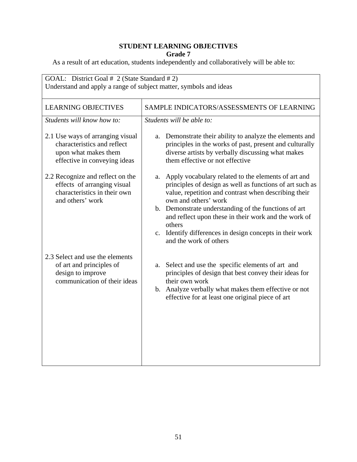| GOAL: District Goal # 2 (State Standard # 2)<br>Understand and apply a range of subject matter, symbols and ideas       |                                                                                                                                                                                                                                                                                                                                                                                                                    |
|-------------------------------------------------------------------------------------------------------------------------|--------------------------------------------------------------------------------------------------------------------------------------------------------------------------------------------------------------------------------------------------------------------------------------------------------------------------------------------------------------------------------------------------------------------|
| <b>LEARNING OBJECTIVES</b>                                                                                              | SAMPLE INDICATORS/ASSESSMENTS OF LEARNING                                                                                                                                                                                                                                                                                                                                                                          |
| Students will know how to:                                                                                              | Students will be able to:                                                                                                                                                                                                                                                                                                                                                                                          |
| 2.1 Use ways of arranging visual<br>characteristics and reflect<br>upon what makes them<br>effective in conveying ideas | a. Demonstrate their ability to analyze the elements and<br>principles in the works of past, present and culturally<br>diverse artists by verbally discussing what makes<br>them effective or not effective                                                                                                                                                                                                        |
| 2.2 Recognize and reflect on the<br>effects of arranging visual<br>characteristics in their own<br>and others' work     | a. Apply vocabulary related to the elements of art and<br>principles of design as well as functions of art such as<br>value, repetition and contrast when describing their<br>own and others' work<br>b. Demonstrate understanding of the functions of art<br>and reflect upon these in their work and the work of<br>others<br>c. Identify differences in design concepts in their work<br>and the work of others |
| 2.3 Select and use the elements<br>of art and principles of<br>design to improve<br>communication of their ideas        | a. Select and use the specific elements of art and<br>principles of design that best convey their ideas for<br>their own work<br>b. Analyze verbally what makes them effective or not<br>effective for at least one original piece of art                                                                                                                                                                          |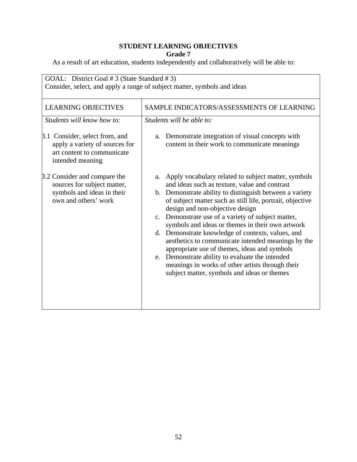| GOAL: District Goal # 3 (State Standard # 3)<br>Consider, select, and apply a range of subject matter, symbols and ideas |                                                                                                                                                                                                                                                                                                                                                                                                                                                                                                                                                                                                                                                                                                  |
|--------------------------------------------------------------------------------------------------------------------------|--------------------------------------------------------------------------------------------------------------------------------------------------------------------------------------------------------------------------------------------------------------------------------------------------------------------------------------------------------------------------------------------------------------------------------------------------------------------------------------------------------------------------------------------------------------------------------------------------------------------------------------------------------------------------------------------------|
| <b>LEARNING OBJECTIVES</b><br>Students will know how to:                                                                 | SAMPLE INDICATORS/ASSESSMENTS OF LEARNING<br>Students will be able to:                                                                                                                                                                                                                                                                                                                                                                                                                                                                                                                                                                                                                           |
| 3.1 Consider, select from, and<br>apply a variety of sources for<br>art content to communicate<br>intended meaning       | Demonstrate integration of visual concepts with<br>a.<br>content in their work to communicate meanings                                                                                                                                                                                                                                                                                                                                                                                                                                                                                                                                                                                           |
| 3.2 Consider and compare the<br>sources for subject matter,<br>symbols and ideas in their<br>own and others' work        | Apply vocabulary related to subject matter, symbols<br>a.<br>and ideas such as texture, value and contrast<br>b. Demonstrate ability to distinguish between a variety<br>of subject matter such as still life, portrait, objective<br>design and non-objective design<br>c. Demonstrate use of a variety of subject matter,<br>symbols and ideas or themes in their own artwork<br>d. Demonstrate knowledge of contexts, values, and<br>aesthetics to communicate intended meanings by the<br>appropriate use of themes, ideas and symbols<br>e. Demonstrate ability to evaluate the intended<br>meanings in works of other artists through their<br>subject matter, symbols and ideas or themes |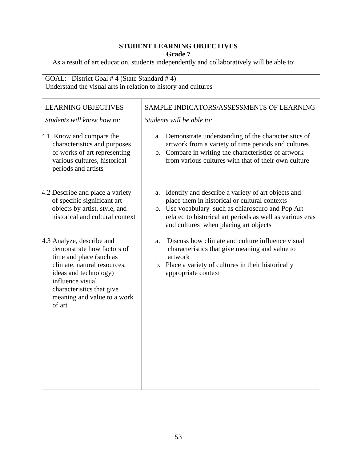| GOAL: District Goal #4 (State Standard #4)<br>Understand the visual arts in relation to history and cultures                                                                                                                         |                                                                                                                                                                                                                                                                      |
|--------------------------------------------------------------------------------------------------------------------------------------------------------------------------------------------------------------------------------------|----------------------------------------------------------------------------------------------------------------------------------------------------------------------------------------------------------------------------------------------------------------------|
| <b>LEARNING OBJECTIVES</b>                                                                                                                                                                                                           | SAMPLE INDICATORS/ASSESSMENTS OF LEARNING                                                                                                                                                                                                                            |
| Students will know how to:                                                                                                                                                                                                           | Students will be able to:                                                                                                                                                                                                                                            |
| 4.1 Know and compare the<br>characteristics and purposes<br>of works of art representing<br>various cultures, historical<br>periods and artists                                                                                      | Demonstrate understanding of the characteristics of<br>a.<br>artwork from a variety of time periods and cultures<br>b. Compare in writing the characteristics of artwork<br>from various cultures with that of their own culture                                     |
| 4.2 Describe and place a variety<br>of specific significant art<br>objects by artist, style, and<br>historical and cultural context                                                                                                  | Identify and describe a variety of art objects and<br>a.<br>place them in historical or cultural contexts<br>b. Use vocabulary such as chiaroscuro and Pop Art<br>related to historical art periods as well as various eras<br>and cultures when placing art objects |
| 4.3 Analyze, describe and<br>demonstrate how factors of<br>time and place (such as<br>climate, natural resources,<br>ideas and technology)<br>influence visual<br>characteristics that give<br>meaning and value to a work<br>of art | Discuss how climate and culture influence visual<br>a.<br>characteristics that give meaning and value to<br>artwork<br>b. Place a variety of cultures in their historically<br>appropriate context                                                                   |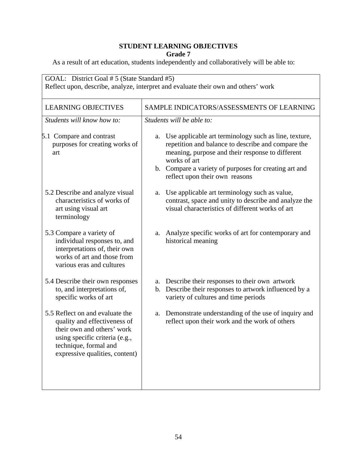| GOAL: District Goal # 5 (State Standard #5)<br>Reflect upon, describe, analyze, interpret and evaluate their own and others' work                                                          |                                                                                                                                                                                                                                                                                  |
|--------------------------------------------------------------------------------------------------------------------------------------------------------------------------------------------|----------------------------------------------------------------------------------------------------------------------------------------------------------------------------------------------------------------------------------------------------------------------------------|
| <b>LEARNING OBJECTIVES</b>                                                                                                                                                                 | SAMPLE INDICATORS/ASSESSMENTS OF LEARNING                                                                                                                                                                                                                                        |
| Students will know how to:                                                                                                                                                                 | Students will be able to:                                                                                                                                                                                                                                                        |
| 5.1 Compare and contrast<br>purposes for creating works of<br>art                                                                                                                          | Use applicable art terminology such as line, texture,<br>a.<br>repetition and balance to describe and compare the<br>meaning, purpose and their response to different<br>works of art<br>b. Compare a variety of purposes for creating art and<br>reflect upon their own reasons |
| 5.2 Describe and analyze visual<br>characteristics of works of<br>art using visual art<br>terminology                                                                                      | Use applicable art terminology such as value,<br>a.<br>contrast, space and unity to describe and analyze the<br>visual characteristics of different works of art                                                                                                                 |
| 5.3 Compare a variety of<br>individual responses to, and<br>interpretations of, their own<br>works of art and those from<br>various eras and cultures                                      | Analyze specific works of art for contemporary and<br>a.<br>historical meaning                                                                                                                                                                                                   |
| 5.4 Describe their own responses<br>to, and interpretations of,<br>specific works of art                                                                                                   | a. Describe their responses to their own artwork<br>b. Describe their responses to artwork influenced by a<br>variety of cultures and time periods                                                                                                                               |
| 5.5 Reflect on and evaluate the<br>quality and effectiveness of<br>their own and others' work<br>using specific criteria (e.g.,<br>technique, formal and<br>expressive qualities, content) | Demonstrate understanding of the use of inquiry and<br>a.<br>reflect upon their work and the work of others                                                                                                                                                                      |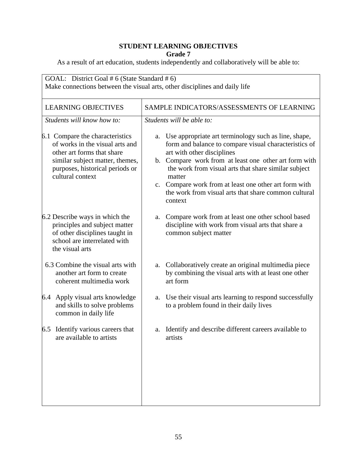| GOAL: District Goal # 6 (State Standard # 6)<br>Make connections between the visual arts, other disciplines and daily life                                                                 |                                                                                                                                                                                                                                                                                                                                                                                                          |
|--------------------------------------------------------------------------------------------------------------------------------------------------------------------------------------------|----------------------------------------------------------------------------------------------------------------------------------------------------------------------------------------------------------------------------------------------------------------------------------------------------------------------------------------------------------------------------------------------------------|
| <b>LEARNING OBJECTIVES</b>                                                                                                                                                                 | SAMPLE INDICATORS/ASSESSMENTS OF LEARNING                                                                                                                                                                                                                                                                                                                                                                |
| Students will know how to:                                                                                                                                                                 | Students will be able to:                                                                                                                                                                                                                                                                                                                                                                                |
| 6.1 Compare the characteristics<br>of works in the visual arts and<br>other art forms that share<br>similar subject matter, themes,<br>purposes, historical periods or<br>cultural context | Use appropriate art terminology such as line, shape,<br>a.<br>form and balance to compare visual characteristics of<br>art with other disciplines<br>b. Compare work from at least one other art form with<br>the work from visual arts that share similar subject<br>matter<br>c. Compare work from at least one other art form with<br>the work from visual arts that share common cultural<br>context |
| 6.2 Describe ways in which the<br>principles and subject matter<br>of other disciplines taught in<br>school are interrelated with<br>the visual arts                                       | Compare work from at least one other school based<br>a.<br>discipline with work from visual arts that share a<br>common subject matter                                                                                                                                                                                                                                                                   |
| 6.3 Combine the visual arts with<br>another art form to create<br>coherent multimedia work                                                                                                 | a. Collaboratively create an original multimedia piece<br>by combining the visual arts with at least one other<br>art form                                                                                                                                                                                                                                                                               |
| 6.4 Apply visual arts knowledge<br>and skills to solve problems<br>common in daily life                                                                                                    | Use their visual arts learning to respond successfully<br>a.<br>to a problem found in their daily lives                                                                                                                                                                                                                                                                                                  |
| 6.5 Identify various careers that<br>are available to artists                                                                                                                              | a. Identify and describe different careers available to<br>artists                                                                                                                                                                                                                                                                                                                                       |
|                                                                                                                                                                                            |                                                                                                                                                                                                                                                                                                                                                                                                          |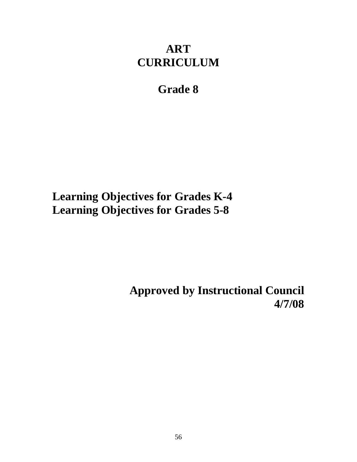# **ART CURRICULUM**

# **Grade 8**

**Learning Objectives for Grades K-4 Learning Objectives for Grades 5-8** 

> **Approved by Instructional Council 4/7/08**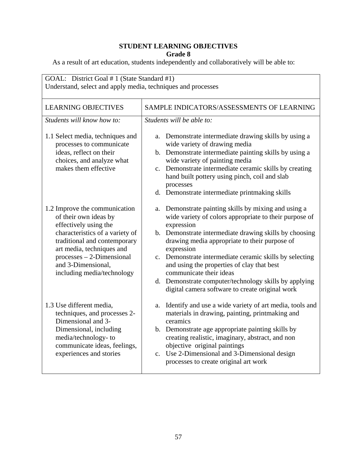| GOAL: District Goal # 1 (State Standard #1)<br>Understand, select and apply media, techniques and processes                                                                                                                                                        |                                                                                                                                                                                                                                                                                                                                                                                                                                                                                                          |  |
|--------------------------------------------------------------------------------------------------------------------------------------------------------------------------------------------------------------------------------------------------------------------|----------------------------------------------------------------------------------------------------------------------------------------------------------------------------------------------------------------------------------------------------------------------------------------------------------------------------------------------------------------------------------------------------------------------------------------------------------------------------------------------------------|--|
| <b>LEARNING OBJECTIVES</b>                                                                                                                                                                                                                                         | SAMPLE INDICATORS/ASSESSMENTS OF LEARNING                                                                                                                                                                                                                                                                                                                                                                                                                                                                |  |
| Students will know how to:                                                                                                                                                                                                                                         | Students will be able to:                                                                                                                                                                                                                                                                                                                                                                                                                                                                                |  |
| 1.1 Select media, techniques and<br>processes to communicate<br>ideas, reflect on their<br>choices, and analyze what<br>makes them effective                                                                                                                       | Demonstrate intermediate drawing skills by using a<br>a.<br>wide variety of drawing media<br>b. Demonstrate intermediate painting skills by using a<br>wide variety of painting media<br>c. Demonstrate intermediate ceramic skills by creating<br>hand built pottery using pinch, coil and slab<br>processes<br>d. Demonstrate intermediate printmaking skills                                                                                                                                          |  |
| 1.2 Improve the communication<br>of their own ideas by<br>effectively using the<br>characteristics of a variety of<br>traditional and contemporary<br>art media, techniques and<br>$processes - 2-Dimensional$<br>and 3-Dimensional,<br>including media/technology | Demonstrate painting skills by mixing and using a<br>a.<br>wide variety of colors appropriate to their purpose of<br>expression<br>b. Demonstrate intermediate drawing skills by choosing<br>drawing media appropriate to their purpose of<br>expression<br>c. Demonstrate intermediate ceramic skills by selecting<br>and using the properties of clay that best<br>communicate their ideas<br>d. Demonstrate computer/technology skills by applying<br>digital camera software to create original work |  |
| 1.3 Use different media,<br>techniques, and processes 2-<br>Dimensional and 3-<br>Dimensional, including<br>media/technology-to<br>communicate ideas, feelings,<br>experiences and stories                                                                         | Identify and use a wide variety of art media, tools and<br>a.<br>materials in drawing, painting, printmaking and<br>ceramics<br>b. Demonstrate age appropriate painting skills by<br>creating realistic, imaginary, abstract, and non<br>objective original paintings<br>c. Use 2-Dimensional and 3-Dimensional design<br>processes to create original art work                                                                                                                                          |  |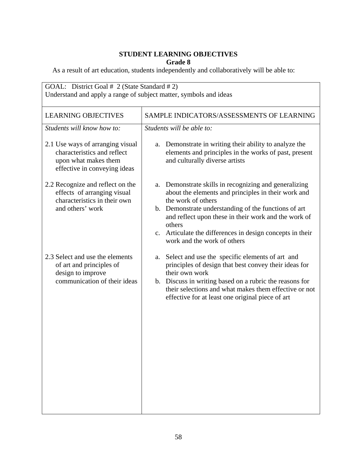| GOAL: District Goal # 2 (State Standard # 2)<br>Understand and apply a range of subject matter, symbols and ideas                                                                                                                                                                                                                                           |  |  |
|-------------------------------------------------------------------------------------------------------------------------------------------------------------------------------------------------------------------------------------------------------------------------------------------------------------------------------------------------------------|--|--|
| SAMPLE INDICATORS/ASSESSMENTS OF LEARNING                                                                                                                                                                                                                                                                                                                   |  |  |
| Students will be able to:                                                                                                                                                                                                                                                                                                                                   |  |  |
| Demonstrate in writing their ability to analyze the<br>a.<br>elements and principles in the works of past, present<br>and culturally diverse artists                                                                                                                                                                                                        |  |  |
| Demonstrate skills in recognizing and generalizing<br>a.<br>about the elements and principles in their work and<br>the work of others<br>b. Demonstrate understanding of the functions of art<br>and reflect upon these in their work and the work of<br>others<br>c. Articulate the differences in design concepts in their<br>work and the work of others |  |  |
| Select and use the specific elements of art and<br>a.<br>principles of design that best convey their ideas for<br>their own work<br>b. Discuss in writing based on a rubric the reasons for<br>their selections and what makes them effective or not<br>effective for at least one original piece of art                                                    |  |  |
|                                                                                                                                                                                                                                                                                                                                                             |  |  |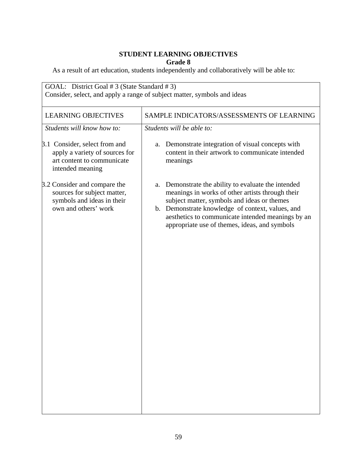| SAMPLE INDICATORS/ASSESSMENTS OF LEARNING                                                                                                                                                                                                                                                                           |
|---------------------------------------------------------------------------------------------------------------------------------------------------------------------------------------------------------------------------------------------------------------------------------------------------------------------|
|                                                                                                                                                                                                                                                                                                                     |
| Students will be able to:                                                                                                                                                                                                                                                                                           |
| Demonstrate integration of visual concepts with<br>a.<br>content in their artwork to communicate intended<br>meanings                                                                                                                                                                                               |
| Demonstrate the ability to evaluate the intended<br>a.<br>meanings in works of other artists through their<br>subject matter, symbols and ideas or themes<br>b. Demonstrate knowledge of context, values, and<br>aesthetics to communicate intended meanings by an<br>appropriate use of themes, ideas, and symbols |
|                                                                                                                                                                                                                                                                                                                     |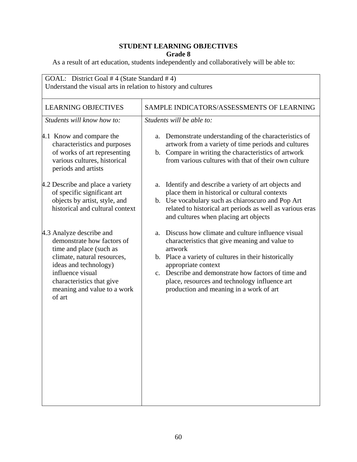| GOAL: District Goal #4 (State Standard #4)<br>Understand the visual arts in relation to history and cultures                                                                                                                        |                                                                                                                                                                                                                                                                                                                                                       |  |
|-------------------------------------------------------------------------------------------------------------------------------------------------------------------------------------------------------------------------------------|-------------------------------------------------------------------------------------------------------------------------------------------------------------------------------------------------------------------------------------------------------------------------------------------------------------------------------------------------------|--|
| <b>LEARNING OBJECTIVES</b>                                                                                                                                                                                                          | SAMPLE INDICATORS/ASSESSMENTS OF LEARNING                                                                                                                                                                                                                                                                                                             |  |
| Students will know how to:                                                                                                                                                                                                          | Students will be able to:                                                                                                                                                                                                                                                                                                                             |  |
| 4.1 Know and compare the<br>characteristics and purposes<br>of works of art representing<br>various cultures, historical<br>periods and artists                                                                                     | Demonstrate understanding of the characteristics of<br>a.<br>artwork from a variety of time periods and cultures<br>b. Compare in writing the characteristics of artwork<br>from various cultures with that of their own culture                                                                                                                      |  |
| 4.2 Describe and place a variety<br>of specific significant art<br>objects by artist, style, and<br>historical and cultural context                                                                                                 | Identify and describe a variety of art objects and<br>a.<br>place them in historical or cultural contexts<br>b. Use vocabulary such as chiaroscuro and Pop Art<br>related to historical art periods as well as various eras<br>and cultures when placing art objects                                                                                  |  |
| 4.3 Analyze describe and<br>demonstrate how factors of<br>time and place (such as<br>climate, natural resources,<br>ideas and technology)<br>influence visual<br>characteristics that give<br>meaning and value to a work<br>of art | Discuss how climate and culture influence visual<br>a.<br>characteristics that give meaning and value to<br>artwork<br>b. Place a variety of cultures in their historically<br>appropriate context<br>c. Describe and demonstrate how factors of time and<br>place, resources and technology influence art<br>production and meaning in a work of art |  |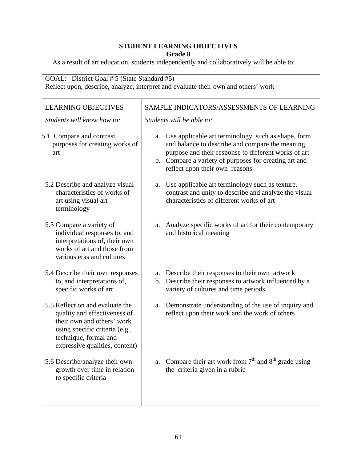| GOAL: District Goal # 5 (State Standard #5)<br>Reflect upon, describe, analyze, interpret and evaluate their own and others' work                                                          |                                                                                                                                                                                                                                                                 |  |
|--------------------------------------------------------------------------------------------------------------------------------------------------------------------------------------------|-----------------------------------------------------------------------------------------------------------------------------------------------------------------------------------------------------------------------------------------------------------------|--|
| <b>LEARNING OBJECTIVES</b>                                                                                                                                                                 | SAMPLE INDICATORS/ASSESSMENTS OF LEARNING                                                                                                                                                                                                                       |  |
| Students will know how to:                                                                                                                                                                 | Students will be able to:                                                                                                                                                                                                                                       |  |
| 5.1 Compare and contrast<br>purposes for creating works of<br>art                                                                                                                          | Use applicable art terminology such as shape, form<br>a.<br>and balance to describe and compare the meaning,<br>purpose and their response to different works of art<br>b. Compare a variety of purposes for creating art and<br>reflect upon their own reasons |  |
| 5.2 Describe and analyze visual<br>characteristics of works of<br>art using visual art<br>terminology                                                                                      | Use applicable art terminology such as texture,<br>a.<br>contrast and unity to describe and analyze the visual<br>characteristics of different works of art                                                                                                     |  |
| 5.3 Compare a variety of<br>individual responses to, and<br>interpretations of, their own<br>works of art and those from<br>various eras and cultures                                      | Analyze specific works of art for their contemporary<br>a.<br>and historical meaning                                                                                                                                                                            |  |
| 5.4 Describe their own responses<br>to, and interpretations of,<br>specific works of art                                                                                                   | a. Describe their responses to their own artwork<br>b. Describe their responses to artwork influenced by a<br>variety of cultures and time periods                                                                                                              |  |
| 5.5 Reflect on and evaluate the<br>quality and effectiveness of<br>their own and others' work<br>using specific criteria (e.g.,<br>technique, formal and<br>expressive qualities, content) | a. Demonstrate understanding of the use of inquiry and<br>reflect upon their work and the work of others                                                                                                                                                        |  |
| 5.6 Describe/analyze their own<br>growth over time in relation<br>to specific criteria                                                                                                     | Compare their art work from $7th$ and $8th$ grade using<br>a.<br>the criteria given in a rubric                                                                                                                                                                 |  |